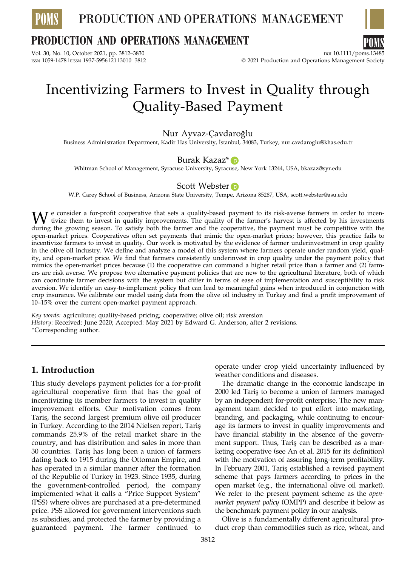

## **PRODUCTION AND OPERATIONS MANAGEMENT**

Vol. 30, No. 10, October 2021, pp. 3812–3830 DOI 10.1111/poms.13485<br>ISSN 1059-1478 EISSN 1937-5956 | 21 | 3010 | 3812 DOI 10:00 DOI 10:00 DOI 10:00 DOI 10:00 DOI 10:00 DOI 10:00



© 2021 Production and Operations Management Society

# Incentivizing Farmers to Invest in Quality through Quality-Based Payment

### Nur Ayvaz-Çavdaroglu˘

Business Administration Department, Kadir Has University, ˙ Istanbul, 34083, Turkey, nur.cavdaroglu@khas.edu.tr

### Burak Kazaz<sup>\*</sup> D

Whitman School of Management, Syracuse University, Syracuse, New York 13244, USA, bkazaz@syr.edu

### Scott Webster **D**

W.P. Carey School of Business, Arizona State University, Tempe, Arizona 85287, USA, scott.webster@asu.edu

We consider a for-profit cooperative that sets a quality-based payment to its risk-averse farmers in order to incen-<br>during the growing season. To satisfy both the farmer and the cooperative, the payment must be competitiv during the growing season. To satisfy both the farmer and the cooperative, the payment must be competitive with the open-market prices. Cooperatives often set payments that mimic the open-market prices; however, this practice fails to incentivize farmers to invest in quality. Our work is motivated by the evidence of farmer underinvestment in crop quality in the olive oil industry. We define and analyze a model of this system where farmers operate under random yield, quality, and open-market price. We find that farmers consistently underinvest in crop quality under the payment policy that mimics the open-market prices because (1) the cooperative can command a higher retail price than a farmer and (2) farmers are risk averse. We propose two alternative payment policies that are new to the agricultural literature, both of which can coordinate farmer decisions with the system but differ in terms of ease of implementation and susceptibility to risk aversion. We identify an easy-to-implement policy that can lead to meaningful gains when introduced in conjunction with crop insurance. We calibrate our model using data from the olive oil industry in Turkey and find a profit improvement of 10–15% over the current open-market payment approach.

Key words: agriculture; quality-based pricing; cooperative; olive oil; risk aversion History: Received: June 2020; Accepted: May 2021 by Edward G. Anderson, after 2 revisions. \*Corresponding author.

### 1. Introduction

This study develops payment policies for a for-profit agricultural cooperative firm that has the goal of incentivizing its member farmers to invest in quality improvement efforts. Our motivation comes from Taris¸, the second largest premium olive oil producer in Turkey. According to the 2014 Nielsen report, Taris¸ commands 25.9% of the retail market share in the country, and has distribution and sales in more than 30 countries. Taris¸ has long been a union of farmers dating back to 1915 during the Ottoman Empire, and has operated in a similar manner after the formation of the Republic of Turkey in 1923. Since 1935, during the government-controlled period, the company implemented what it calls a "Price Support System" (PSS) where olives are purchased at a pre-determined price. PSS allowed for government interventions such as subsidies, and protected the farmer by providing a guaranteed payment. The farmer continued to

operate under crop yield uncertainty influenced by weather conditions and diseases.

The dramatic change in the economic landscape in 2000 led Taris¸ to become a union of farmers managed by an independent for-profit enterprise. The new management team decided to put effort into marketing, branding, and packaging, while continuing to encourage its farmers to invest in quality improvements and have financial stability in the absence of the government support. Thus, Taris can be described as a marketing cooperative (see An et al. 2015 for its definition) with the motivation of assuring long-term profitability. In February 2001, Taris¸ established a revised payment scheme that pays farmers according to prices in the open market (e.g., the international olive oil market). We refer to the present payment scheme as the openmarket payment policy (OMPP) and describe it below as the benchmark payment policy in our analysis.

Olive is a fundamentally different agricultural product crop than commodities such as rice, wheat, and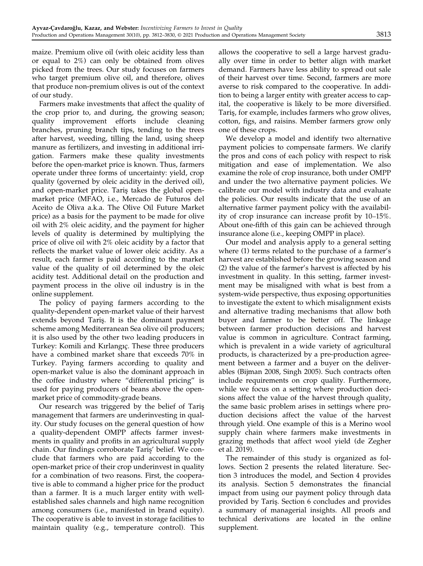maize. Premium olive oil (with oleic acidity less than or equal to 2%) can only be obtained from olives picked from the trees. Our study focuses on farmers who target premium olive oil, and therefore, olives that produce non-premium olives is out of the context of our study.

Farmers make investments that affect the quality of the crop prior to, and during, the growing season; quality improvement efforts include cleaning branches, pruning branch tips, tending to the trees after harvest, weeding, tilling the land, using sheep manure as fertilizers, and investing in additional irrigation. Farmers make these quality investments before the open-market price is known. Thus, farmers operate under three forms of uncertainty: yield, crop quality (governed by oleic acidity in the derived oil), and open-market price. Taris takes the global openmarket price (MFAO, i.e., Mercado de Futuros del Aceito de Oliva a.k.a. The Olive Oil Future Market price) as a basis for the payment to be made for olive oil with 2% oleic acidity, and the payment for higher levels of quality is determined by multiplying the price of olive oil with 2% oleic acidity by a factor that reflects the market value of lower oleic acidity. As a result, each farmer is paid according to the market value of the quality of oil determined by the oleic acidity test. Additional detail on the production and payment process in the olive oil industry is in the online supplement.

The policy of paying farmers according to the quality-dependent open-market value of their harvest extends beyond Taris¸. It is the dominant payment scheme among Mediterranean Sea olive oil producers; it is also used by the other two leading producers in Turkey: Komili and Kırlangıç. These three producers have a combined market share that exceeds 70% in Turkey. Paying farmers according to quality and open-market value is also the dominant approach in the coffee industry where "differential pricing" is used for paying producers of beans above the openmarket price of commodity-grade beans.

Our research was triggered by the belief of Taris¸ management that farmers are underinvesting in quality. Our study focuses on the general question of how a quality-dependent OMPP affects farmer investments in quality and profits in an agricultural supply chain. Our findings corroborate Taris' belief. We conclude that farmers who are paid according to the open-market price of their crop underinvest in quality for a combination of two reasons. First, the cooperative is able to command a higher price for the product than a farmer. It is a much larger entity with wellestablished sales channels and high name recognition among consumers (i.e., manifested in brand equity). The cooperative is able to invest in storage facilities to maintain quality (e.g., temperature control). This

allows the cooperative to sell a large harvest gradually over time in order to better align with market demand. Farmers have less ability to spread out sale of their harvest over time. Second, farmers are more averse to risk compared to the cooperative. In addition to being a larger entity with greater access to capital, the cooperative is likely to be more diversified. Taris, for example, includes farmers who grow olives, cotton, figs, and raisins. Member farmers grow only one of these crops.

We develop a model and identify two alternative payment policies to compensate farmers. We clarify the pros and cons of each policy with respect to risk mitigation and ease of implementation. We also examine the role of crop insurance, both under OMPP and under the two alternative payment policies. We calibrate our model with industry data and evaluate the policies. Our results indicate that the use of an alternative farmer payment policy with the availability of crop insurance can increase profit by 10–15%. About one-fifth of this gain can be achieved through insurance alone (i.e., keeping OMPP in place).

Our model and analysis apply to a general setting where (1) terms related to the purchase of a farmer's harvest are established before the growing season and (2) the value of the farmer's harvest is affected by his investment in quality. In this setting, farmer investment may be misaligned with what is best from a system-wide perspective, thus exposing opportunities to investigate the extent to which misalignment exists and alternative trading mechanisms that allow both buyer and farmer to be better off. The linkage between farmer production decisions and harvest value is common in agriculture. Contract farming, which is prevalent in a wide variety of agricultural products, is characterized by a pre-production agreement between a farmer and a buyer on the deliverables (Bijman 2008, Singh 2005). Such contracts often include requirements on crop quality. Furthermore, while we focus on a setting where production decisions affect the value of the harvest through quality, the same basic problem arises in settings where production decisions affect the value of the harvest through yield. One example of this is a Merino wool supply chain where farmers make investments in grazing methods that affect wool yield (de Zegher et al. 2019).

The remainder of this study is organized as follows. Section 2 presents the related literature. Section 3 introduces the model, and Section 4 provides its analysis. Section 5 demonstrates the financial impact from using our payment policy through data provided by Taris¸. Section 6 concludes and provides a summary of managerial insights. All proofs and technical derivations are located in the online supplement.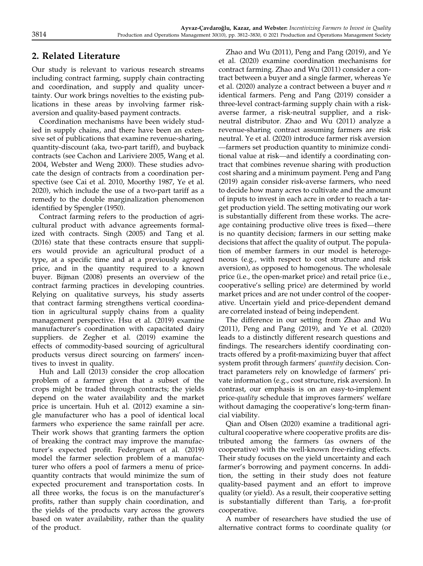### 2. Related Literature

Our study is relevant to various research streams including contract farming, supply chain contracting and coordination, and supply and quality uncertainty. Our work brings novelties to the existing publications in these areas by involving farmer riskaversion and quality-based payment contracts.

Coordination mechanisms have been widely studied in supply chains, and there have been an extensive set of publications that examine revenue-sharing, quantity-discount (aka, two-part tariff), and buyback contracts (see Cachon and Lariviere 2005, Wang et al. 2004, Webster and Weng 2000). These studies advocate the design of contracts from a coordination perspective (see Cai et al. 2010, Moorthy 1987, Ye et al. 2020), which include the use of a two-part tariff as a remedy to the double marginalization phenomenon identified by Spengler (1950).

Contract farming refers to the production of agricultural product with advance agreements formalized with contracts. Singh (2005) and Tang et al. (2016) state that these contracts ensure that suppliers would provide an agricultural product of a type, at a specific time and at a previously agreed price, and in the quantity required to a known buyer. Bijman (2008) presents an overview of the contract farming practices in developing countries. Relying on qualitative surveys, his study asserts that contract farming strengthens vertical coordination in agricultural supply chains from a quality management perspective. Hsu et al. (2019) examine manufacturer's coordination with capacitated dairy suppliers. de Zegher et al. (2019) examine the effects of commodity-based sourcing of agricultural products versus direct sourcing on farmers' incentives to invest in quality.

Huh and Lall (2013) consider the crop allocation problem of a farmer given that a subset of the crops might be traded through contracts; the yields depend on the water availability and the market price is uncertain. Huh et al. (2012) examine a single manufacturer who has a pool of identical local farmers who experience the same rainfall per acre. Their work shows that granting farmers the option of breaking the contract may improve the manufacturer's expected profit. Federgruen et al. (2019) model the farmer selection problem of a manufacturer who offers a pool of farmers a menu of pricequantity contracts that would minimize the sum of expected procurement and transportation costs. In all three works, the focus is on the manufacturer's profits, rather than supply chain coordination, and the yields of the products vary across the growers based on water availability, rather than the quality of the product.

Zhao and Wu (2011), Peng and Pang (2019), and Ye et al. (2020) examine coordination mechanisms for contract farming. Zhao and Wu (2011) consider a contract between a buyer and a single farmer, whereas Ye et al. (2020) analyze a contract between a buyer and  $n$ identical farmers. Peng and Pang (2019) consider a three-level contract-farming supply chain with a riskaverse farmer, a risk-neutral supplier, and a riskneutral distributor. Zhao and Wu (2011) analyze a revenue-sharing contract assuming farmers are risk neutral. Ye et al. (2020) introduce farmer risk aversion —farmers set production quantity to minimize conditional value at risk—and identify a coordinating contract that combines revenue sharing with production cost sharing and a minimum payment. Peng and Pang (2019) again consider risk-averse farmers, who need to decide how many acres to cultivate and the amount of inputs to invest in each acre in order to reach a target production yield. The setting motivating our work is substantially different from these works. The acreage containing productive olive trees is fixed—there is no quantity decision; farmers in our setting make decisions that affect the quality of output. The population of member farmers in our model is heterogeneous (e.g., with respect to cost structure and risk aversion), as opposed to homogenous. The wholesale price (i.e., the open-market price) and retail price (i.e., cooperative's selling price) are determined by world market prices and are not under control of the cooperative. Uncertain yield and price-dependent demand are correlated instead of being independent.

The difference in our setting from Zhao and Wu (2011), Peng and Pang (2019), and Ye et al. (2020) leads to a distinctly different research questions and findings. The researchers identify coordinating contracts offered by a profit-maximizing buyer that affect system profit through farmers' quantity decision. Contract parameters rely on knowledge of farmers' private information (e.g., cost structure, risk aversion). In contrast, our emphasis is on an easy-to-implement price-quality schedule that improves farmers' welfare without damaging the cooperative's long-term financial viability.

Qian and Olsen (2020) examine a traditional agricultural cooperative where cooperative profits are distributed among the farmers (as owners of the cooperative) with the well-known free-riding effects. Their study focuses on the yield uncertainty and each farmer's borrowing and payment concerns. In addition, the setting in their study does not feature quality-based payment and an effort to improve quality (or yield). As a result, their cooperative setting is substantially different than Tariş, a for-profit cooperative.

A number of researchers have studied the use of alternative contract forms to coordinate quality (or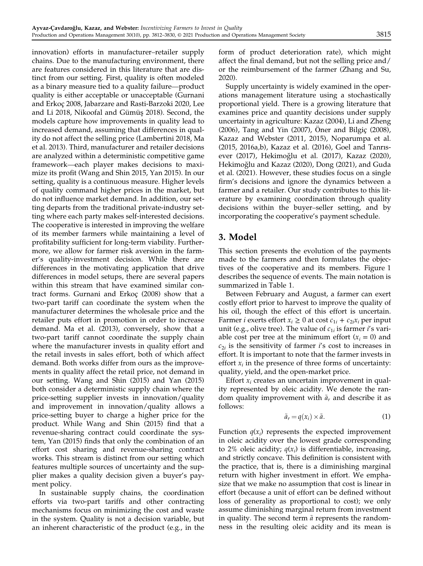innovation) efforts in manufacturer–retailer supply chains. Due to the manufacturing environment, there are features considered in this literature that are distinct from our setting. First, quality is often modeled as a binary measure tied to a quality failure—product quality is either acceptable or unacceptable (Gurnani and Erkoç 2008, Jabarzare and Rasti-Barzoki 2020, Lee and Li 2018, Nikoofal and Gümüş 2018). Second, the models capture how improvements in quality lead to increased demand, assuming that differences in quality do not affect the selling price (Lambertini 2018, Ma et al. 2013). Third, manufacturer and retailer decisions are analyzed within a deterministic competitive game framework—each player makes decisions to maximize its profit (Wang and Shin 2015, Yan 2015). In our setting, quality is a continuous measure. Higher levels of quality command higher prices in the market, but do not influence market demand. In addition, our setting departs from the traditional private-industry setting where each party makes self-interested decisions. The cooperative is interested in improving the welfare of its member farmers while maintaining a level of profitability sufficient for long-term viability. Furthermore, we allow for farmer risk aversion in the farmer's quality-investment decision. While there are differences in the motivating application that drive differences in model setups, there are several papers within this stream that have examined similar contract forms. Gurnani and Erkoc¸ (2008) show that a two-part tariff can coordinate the system when the manufacturer determines the wholesale price and the retailer puts effort in promotion in order to increase demand. Ma et al. (2013), conversely, show that a two-part tariff cannot coordinate the supply chain where the manufacturer invests in quality effort and the retail invests in sales effort, both of which affect demand. Both works differ from ours as the improvements in quality affect the retail price, not demand in our setting. Wang and Shin (2015) and Yan (2015) both consider a deterministic supply chain where the price-setting supplier invests in innovation/quality and improvement in innovation/quality allows a price-setting buyer to charge a higher price for the product. While Wang and Shin (2015) find that a revenue-sharing contract could coordinate the system, Yan (2015) finds that only the combination of an effort cost sharing and revenue-sharing contract works. This stream is distinct from our setting which features multiple sources of uncertainty and the supplier makes a quality decision given a buyer's payment policy.

In sustainable supply chains, the coordination efforts via two-part tariffs and other contracting mechanisms focus on minimizing the cost and waste in the system. Quality is not a decision variable, but an inherent characteristic of the product (e.g., in the

form of product deterioration rate), which might affect the final demand, but not the selling price and/ or the reimbursement of the farmer (Zhang and Su, 2020).

Supply uncertainty is widely examined in the operations management literature using a stochastically proportional yield. There is a growing literature that examines price and quantity decisions under supply uncertainty in agriculture: Kazaz (2004), Li and Zheng (2006), Tang and Yin (2007), Öner and Bilgiç (2008), Kazaz and Webster (2011, 2015), Noparumpa et al. (2015, 2016a,b), Kazaz et al. (2016), Goel and Tanrısever (2017), Hekimoğlu et al. (2017), Kazaz (2020), Hekimoğlu and Kazaz (2020), Dong (2021), and Guda et al. (2021). However, these studies focus on a single firm's decisions and ignore the dynamics between a farmer and a retailer. Our study contributes to this literature by examining coordination through quality decisions within the buyer–seller setting, and by incorporating the cooperative's payment schedule.

### 3. Model

This section presents the evolution of the payments made to the farmers and then formulates the objectives of the cooperative and its members. Figure 1 describes the sequence of events. The main notation is summarized in Table 1.

Between February and August, a farmer can exert costly effort prior to harvest to improve the quality of his oil, though the effect of this effort is uncertain. Farmer *i* exerts effort  $x_i \geq 0$  at cost  $c_{1i} + c_{2i}x_i$  per input unit (e.g., olive tree). The value of  $c_{1i}$  is farmer i's variable cost per tree at the minimum effort  $(x<sub>i</sub> = 0)$  and  $c_{2i}$  is the sensitivity of farmer i's cost to increases in effort. It is important to note that the farmer invests in effort  $x_i$  in the presence of three forms of uncertainty: quality, yield, and the open-market price.

Effort  $x_i$  creates an uncertain improvement in quality represented by oleic acidity. We denote the random quality improvement with  $\tilde{a}_r$  and describe it as follows:

$$
\tilde{a}_r = q(x_i) \times \tilde{a}.\tag{1}
$$

Function  $q(x_i)$  represents the expected improvement in oleic acidity over the lowest grade corresponding to 2% oleic acidity;  $q(x_i)$  is differentiable, increasing, and strictly concave. This definition is consistent with the practice, that is, there is a diminishing marginal return with higher investment in effort. We emphasize that we make no assumption that cost is linear in effort (because a unit of effort can be defined without loss of generality as proportional to cost); we only assume diminishing marginal return from investment in quality. The second term  $\tilde{a}$  represents the randomness in the resulting oleic acidity and its mean is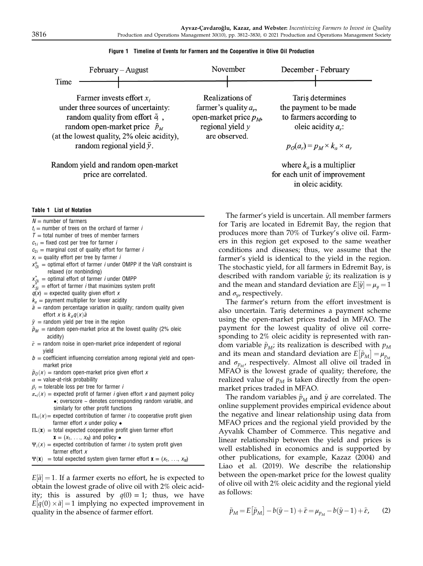| February – August                                                                                                                                                                                                                             |                                     | November                                                                                                      | December - February                                                                                                                      |
|-----------------------------------------------------------------------------------------------------------------------------------------------------------------------------------------------------------------------------------------------|-------------------------------------|---------------------------------------------------------------------------------------------------------------|------------------------------------------------------------------------------------------------------------------------------------------|
| Time                                                                                                                                                                                                                                          |                                     |                                                                                                               |                                                                                                                                          |
| Farmer invests effort $x_i$<br>under three sources of uncertainty:<br>random quality from effort $\tilde{q}$ ,<br>random open-market price $\tilde{p}_M$<br>(at the lowest quality, 2% oleic acidity),<br>random regional yield $\tilde{y}$ . |                                     | Realizations of<br>farmer's quality $a_r$ ,<br>open-market price $p_M$<br>regional yield $y$<br>are observed. | Taris determines<br>the payment to be made<br>to farmers according to<br>oleic acidity $a_r$ :<br>$p_O(a_r) = p_M \times k_a \times a_r$ |
|                                                                                                                                                                                                                                               | Random yield and random open-market |                                                                                                               | where $k_a$ is a multiplier                                                                                                              |

Figure 1 Timeline of Events for Farmers and the Cooperative in Olive Oil Production

Random yield and random open-market price are correlated.

#### Table 1 List of Notation

 $N =$  number of farmers

 $t_i$  = number of trees on the orchard of farmer *i* 

 $T =$  total number of trees of member farmers

- $c_{1i}$  = fixed cost per tree for farmer *i*
- $c_{2i}$  = marginal cost of quality effort for farmer *i*
- $x_i$  = quality effort per tree by farmer *i*
- $x_{0i}^0$  = optimal effort of farmer *i* under OMPP if the VaR constraint is relaxed (or nonbinding)
- $x_{0i}^*$  = optimal effort of farmer *i* under OMPP
- $x_{Si}^*$  = effort of farmer *i* that maximizes system profit
- $q(x)$  = expected quality given effort x
- $k_a$  = payment multiplier for lower acidity
- $\tilde{a}$  = random percentage variation in quality; random quality given effort *x* is  $k_a q(x)$   $\tilde{a}$ <br>random vield ner t
- $\tilde{y}$  = random yield per tree in the region
- $\tilde{p}_M$  = random open-market price at the lowest quality (2% oleic acidity)
- $\tilde{\varepsilon}$  = random noise in open-market price independent of regional yield
- $b =$  coefficient influencing correlation among regional yield and openmarket price

 $\tilde{p}_0(x)$  = random open-market price given effort x

 $\alpha$  = value-at-risk probability

- $\beta_i$  = tolerable loss per tree for farmer *i*
- $\pi_{\bullet i}(x)$  = expected profit of farmer *i* given effort x and payment policy  $\bullet$ ; overscore  $\sim$  denotes corresponding random variable, and similarly for other profit functions
- $\Pi_{\bullet i}(x)$  = expected contribution of farmer *i* to cooperative profit given farmer effort  $x$  under policy  $\bullet$
- $\Pi$ • $(\mathbf{x})$  = total expected cooperative profit given farmer effort  $\mathbf{x} = (x_1, \ldots, x_N)$  and policy  $\bullet$
- $\Psi_i(x)$  = expected contribution of farmer *i* to system profit given farmer effort x
- $\Psi(\mathbf{x})$  = total expected system given farmer effort  $\mathbf{x} = (x_1, \ldots, x_N)$

 $E[\tilde{a}] = 1$ . If a farmer exerts no effort, he is expected to obtain the lowest grade of olive oil with 2% oleic acidity; this is assured by  $q(0) = 1$ ; thus, we have  $E[q(0) \times \tilde{a}] = 1$  implying no expected improvement in quality in the absence of farmer effort quality in the absence of farmer effort.

The farmer's yield is uncertain. All member farmers for Tariş are located in Edremit Bay, the region that produces more than 70% of Turkey's olive oil. Farmers in this region get exposed to the same weather conditions and diseases; thus, we assume that the farmer's yield is identical to the yield in the region. The stochastic yield, for all farmers in Edremit Bay, is described with random variable  $\tilde{\psi}$ ; its realization is  $\psi$ and the mean and standard deviation are  $E[\tilde{y}] = \mu_y = 1$ and  $\sigma_{\nu}$ , respectively.

for each unit of improvement in oleic acidity.

The farmer's return from the effort investment is also uncertain. Taris¸ determines a payment scheme using the open-market prices traded in MFAO. The payment for the lowest quality of olive oil corresponding to 2% oleic acidity is represented with random variable  $\tilde{p}_{M}$ ; its realization is described with  $p_{M}$ and its mean and standard deviation are  $E[\tilde{p}_M] = \mu_{p_M}$ <br>and  $\sigma$  = respectively. Almost all olive oil traded in and  $\sigma_{p_M}$ , respectively. Almost all olive oil traded in MFAO is the lowest grade of quality; therefore, the realized value of  $p_M$  is taken directly from the openmarket prices traded in MFAO.

The random variables  $\tilde{p}_M$  and  $\tilde{y}$  are correlated. The online supplement provides empirical evidence about the negative and linear relationship using data from MFAO prices and the regional yield provided by the Ayvalık Chamber of Commerce. This negative and linear relationship between the yield and prices is well established in economics and is supported by other publications, for example, Kazaz (2004) and Liao et al. (2019). We describe the relationship between the open-market price for the lowest quality of olive oil with 2% oleic acidity and the regional yield as follows:

$$
\tilde{p}_M = E[\tilde{p}_M] - b(\tilde{y} - 1) + \tilde{\varepsilon} = \mu_{p_M} - b(\tilde{y} - 1) + \tilde{\varepsilon}, \qquad (2)
$$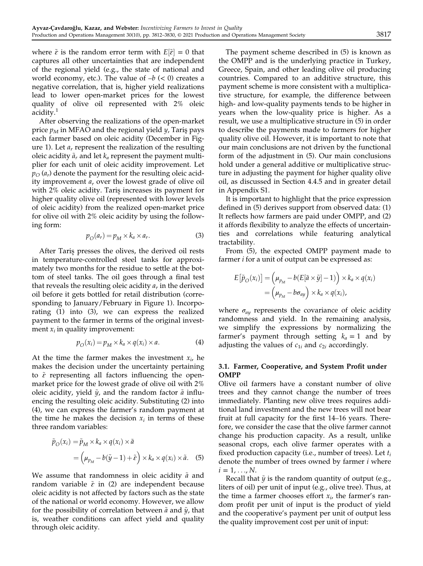where  $\tilde{\varepsilon}$  is the random error term with  $E[\tilde{\varepsilon}] = 0$  that captures all other uncertainties that are independent of the regional yield (e.g., the state of national and world economy, etc.). The value of  $-b$  ( $<$  0) creates a negative correlation, that is, higher yield realizations lead to lower open-market prices for the lowest quality of olive oil represented with 2% oleic acidity.<sup>1</sup>

After observing the realizations of the open-market price  $p_M$  in MFAO and the regional yield  $y$ , Taris pays each farmer based on oleic acidity (December in Figure 1). Let  $a_r$  represent the realization of the resulting oleic acidity  $\tilde{a}_r$  and let  $k_a$  represent the payment multiplier for each unit of oleic acidity improvement. Let  $p_O$  ( $a_r$ ) denote the payment for the resulting oleic acidity improvement  $a_r$  over the lowest grade of olive oil with 2% oleic acidity. Taris increases its payment for higher quality olive oil (represented with lower levels of oleic acidity) from the realized open-market price for olive oil with 2% oleic acidity by using the following form:

$$
p_O(a_r) = p_M \times k_a \times a_r.
$$
 (3)

After Taris¸ presses the olives, the derived oil rests in temperature-controlled steel tanks for approximately two months for the residue to settle at the bottom of steel tanks. The oil goes through a final test that reveals the resulting oleic acidity  $a_r$  in the derived oil before it gets bottled for retail distribution (corresponding to January/February in Figure 1). Incorporating (1) into (3), we can express the realized payment to the farmer in terms of the original investment  $x_i$  in quality improvement:

$$
p_O(x_i) = p_M \times k_a \times q(x_i) \times a. \tag{4}
$$

At the time the farmer makes the investment  $x_i$ , he makes the decision under the uncertainty pertaining to  $\tilde{\varepsilon}$  representing all factors influencing the openmarket price for the lowest grade of olive oil with 2% oleic acidity, yield  $\tilde{y}$ , and the random factor  $\tilde{a}$  influencing the resulting oleic acidity. Substituting (2) into (4), we can express the farmer's random payment at the time he makes the decision  $x_i$  in terms of these three random variables:

$$
\tilde{p}_O(x_i) = \tilde{p}_M \times k_a \times q(x_i) \times \tilde{a}
$$
  
= 
$$
\left(\mu_{p_M} - b(\tilde{y} - 1) + \tilde{\varepsilon}\right) \times k_a \times q(x_i) \times \tilde{a}.
$$
 (5)

We assume that randomness in oleic acidity  $\tilde{a}$  and random variable  $\tilde{\varepsilon}$  in (2) are independent because oleic acidity is not affected by factors such as the state of the national or world economy. However, we allow for the possibility of correlation between  $\tilde{a}$  and  $\tilde{y}$ , that is, weather conditions can affect yield and quality through oleic acidity.

The payment scheme described in (5) is known as the OMPP and is the underlying practice in Turkey, Greece, Spain, and other leading olive oil producing countries. Compared to an additive structure, this payment scheme is more consistent with a multiplicative structure, for example, the difference between high- and low-quality payments tends to be higher in years when the low-quality price is higher. As a result, we use a multiplicative structure in (5) in order to describe the payments made to farmers for higher quality olive oil. However, it is important to note that our main conclusions are not driven by the functional form of the adjustment in (5). Our main conclusions hold under a general additive or multiplicative structure in adjusting the payment for higher quality olive oil, as discussed in Section 4.4.5 and in greater detail in Appendix S1.

It is important to highlight that the price expression defined in (5) derives support from observed data: (1) It reflects how farmers are paid under OMPP, and (2) it affords flexibility to analyze the effects of uncertainties and correlations while featuring analytical tractability.

From (5), the expected OMPP payment made to farmer *i* for a unit of output can be expressed as:

$$
E[\tilde{p}_O(x_i)] = (\mu_{p_M} - b(E[\tilde{a} \times \tilde{y}] - 1)) \times k_a \times q(x_i)
$$
  
=  $(\mu_{p_M} - b\sigma_{ay}) \times k_a \times q(x_i),$ 

where  $\sigma_{\alpha\gamma}$  represents the covariance of oleic acidity randomness and yield. In the remaining analysis, we simplify the expressions by normalizing the farmer's payment through setting  $k_a = 1$  and by adjusting the values of  $c_{1i}$  and  $c_{2i}$  accordingly.

#### 3.1. Farmer, Cooperative, and System Profit under OMPP

Olive oil farmers have a constant number of olive trees and they cannot change the number of trees immediately. Planting new olive trees requires additional land investment and the new trees will not bear fruit at full capacity for the first 14–16 years. Therefore, we consider the case that the olive farmer cannot change his production capacity. As a result, unlike seasonal crops, each olive farmer operates with a fixed production capacity (i.e., number of trees). Let  $t_i$ denote the number of trees owned by farmer *i* where  $i = 1, ..., N$ .

Recall that  $\tilde{y}$  is the random quantity of output (e.g., liters of oil) per unit of input (e.g., olive tree). Thus, at the time a farmer chooses effort  $x_i$ , the farmer's random profit per unit of input is the product of yield and the cooperative's payment per unit of output less the quality improvement cost per unit of input: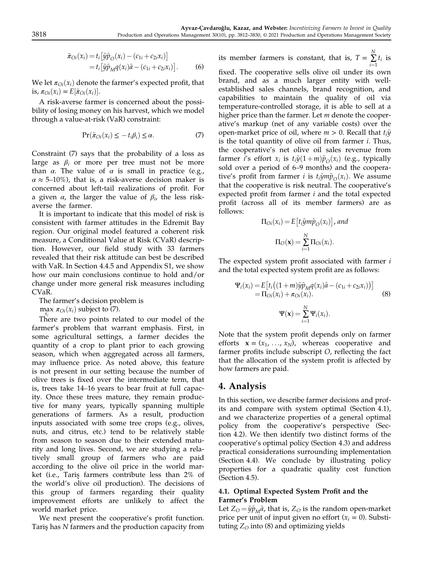$$
\tilde{\pi}_{oi}(x_i) = t_i \left[ \tilde{y} \tilde{p}_O(x_i) - (c_{1i} + c_{2i} x_i) \right]
$$
  
= 
$$
t_i \left[ \tilde{y} \tilde{p}_M q(x_i) \tilde{a} - (c_{1i} + c_{2i} x_i) \right].
$$
 (6)

We let  $\pi_{O_i}(x_i)$  denote the farmer's expected profit, that is,  $\pi_{\text{O}i}(x_i) = E[\tilde{\pi}_{\text{O}i}(x_i)].$ 

A risk-averse farmer is concerned about the possibility of losing money on his harvest, which we model through a value-at-risk (VaR) constraint:

$$
\Pr(\tilde{\pi}_{\text{O}i}(x_i) \le -t_i \beta_i) \le \alpha. \tag{7}
$$

Constraint (7) says that the probability of a loss as large as  $\beta_i$  or more per tree must not be more than  $\alpha$ . The value of  $\alpha$  is small in practice (e.g.,  $\alpha \approx 5{\text -}10\%$ ), that is, a risk-averse decision maker is concerned about left-tail realizations of profit. For a given  $\alpha$ , the larger the value of  $\beta_i$ , the less riskaverse the farmer.

It is important to indicate that this model of risk is consistent with farmer attitudes in the Edremit Bay region. Our original model featured a coherent risk measure, a Conditional Value at Risk (CVaR) description. However, our field study with 33 farmers revealed that their risk attitude can best be described with VaR. In Section 4.4.5 and Appendix S1, we show how our main conclusions continue to hold and/or change under more general risk measures including CVaR.

The farmer's decision problem is

max  $\pi_{Qi}(x_i)$  subject to (7).

There are two points related to our model of the farmer's problem that warrant emphasis. First, in some agricultural settings, a farmer decides the quantity of a crop to plant prior to each growing season, which when aggregated across all farmers, may influence price. As noted above, this feature is not present in our setting because the number of olive trees is fixed over the intermediate term, that is, trees take 14–16 years to bear fruit at full capacity. Once these trees mature, they remain productive for many years, typically spanning multiple generations of farmers. As a result, production inputs associated with some tree crops (e.g., olives, nuts, and citrus, etc.) tend to be relatively stable from season to season due to their extended maturity and long lives. Second, we are studying a relatively small group of farmers who are paid according to the olive oil price in the world market (i.e., Taris¸ farmers contribute less than 2% of the world's olive oil production). The decisions of this group of farmers regarding their quality improvement efforts are unlikely to affect the world market price.

We next present the cooperative's profit function. Tariş has N farmers and the production capacity from

its member farmers is constant, that is,  $T = \sum_{i=1}^{N}$  $i=1$  $t_i$  is fixed. The cooperative sells olive oil under its own brand, and as a much larger entity with wellestablished sales channels, brand recognition, and capabilities to maintain the quality of oil via temperature-controlled storage, it is able to sell at a higher price than the farmer. Let  $m$  denote the cooperative's markup (net of any variable costs) over the open-market price of oil, where  $m > 0$ . Recall that  $t_i\tilde{y}$ is the total quantity of olive oil from farmer i. Thus, the cooperative's net olive oil sales revenue from farmer i's effort  $x_i$  is  $t_i\tilde{y}(1+m)\tilde{p}_O(x_i)$  (e.g., typically sold over a period of 6–9 months) and the cooperative's profit from farmer *i* is  $t_i \tilde{y} m \tilde{p}_O(x_i)$ . We assume that the cooperative is risk neutral. The cooperative's expected profit from farmer i and the total expected profit (across all of its member farmers) are as follows:

$$
\Pi_{Oi}(x_i) = E[t_i \tilde{y} m \tilde{p}_O(x_i)], and
$$

$$
\Pi_O(\mathbf{x}) = \sum_{i=1}^N \Pi_{Oi}(x_i).
$$

The expected system profit associated with farmer *i* and the total expected system profit are as follows:

$$
\Psi_i(x_i) = E\left[t_i\left((1+m)\tilde{y}\tilde{p}_Mq(x_i)\tilde{a} - (c_{1i} + c_{2i}x_i)\right)\right]
$$
  
\n
$$
= \Pi_{0i}(x_i) + \pi_{0i}(x_i).
$$
 (8)  
\n
$$
\Psi(\mathbf{x}) = \sum_{i=1}^N \Psi_i(x_i).
$$

Note that the system profit depends only on farmer efforts  $\mathbf{x} = (x_1, \ldots, x_N)$ , whereas cooperative and farmer profits include subscript O, reflecting the fact that the allocation of the system profit is affected by how farmers are paid.

### 4. Analysis

In this section, we describe farmer decisions and profits and compare with system optimal (Section 4.1), and we characterize properties of a general optimal policy from the cooperative's perspective (Section 4.2). We then identify two distinct forms of the cooperative's optimal policy (Section 4.3) and address practical considerations surrounding implementation (Section 4.4). We conclude by illustrating policy properties for a quadratic quality cost function (Section 4.5).

#### 4.1. Optimal Expected System Profit and the Farmer's Problem

Let  $Z_{\rm O} = \tilde{y} \tilde{p}_{\rm M} \tilde{a}$ , that is,  $Z_{\rm O}$  is the random open-market price per unit of input given no effort  $(x<sub>i</sub> = 0)$ . Substituting  $Z_{\rm O}$  into (8) and optimizing yields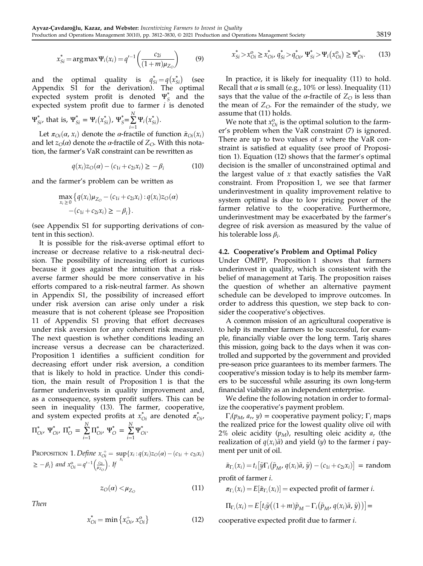$$
x_{Si}^{*} = \arg \max \Psi_{i}(x_{i}) = q'^{-1} \left( \frac{c_{2i}}{(1+m)\mu_{Z_{O}}} \right)
$$
 (9)

and the optimal quality is  $q_{si}^* = q(x_{si}^*)$  (see<br>Appendix S1 for the derivation) The optimal Appendix S1 for the derivation). The optimal expected system profit is denoted  $\Psi_S^*$  and the expected system profit due to farmer  $i$  is denoted N

$$
\Psi_{Si}^*
$$
, that is,  $\Psi_{Si}^* = \Psi_i(x_{Si}^*)$ ,  $\Psi_{S}^* = \sum_{i=1}^{N} \Psi_i(x_{Si}^*)$ .

Let  $\pi_{O_i}(\alpha, x_i)$  denote the  $\alpha$ -fractile of function  $\tilde{\pi}_{O_i}(x_i)$ <br>d let  $z_{\alpha}(\alpha)$  denote the  $\alpha$ -fractile of  $Z_{\alpha}$ . With this notaand let  $z_O(\alpha)$  denote the  $\alpha$ -fractile of  $Z_O$ . With this notation, the farmer's VaR constraint can be rewritten as

$$
q(x_i)z_O(\alpha) - (c_{1i} + c_{2i}x_i) \ge -\beta_i \tag{10}
$$

and the farmer's problem can be written as

$$
\max_{x_i \geq 0} \{q(x_i)\mu_{Z_O} - (c_{1i} + c_{2i}x_i) : q(x_i)z_O(\alpha) - (c_{1i} + c_{2i}x_i) \geq -\beta_i\}.
$$

(see Appendix S1 for supporting derivations of content in this section).

It is possible for the risk-averse optimal effort to increase or decrease relative to a risk-neutral decision. The possibility of increasing effort is curious because it goes against the intuition that a riskaverse farmer should be more conservative in his efforts compared to a risk-neutral farmer. As shown in Appendix S1, the possibility of increased effort under risk aversion can arise only under a risk measure that is not coherent (please see Proposition 11 of Appendix S1 proving that effort decreases under risk aversion for any coherent risk measure). The next question is whether conditions leading an increase versus a decrease can be characterized. Proposition 1 identifies a sufficient condition for decreasing effort under risk aversion, a condition that is likely to hold in practice. Under this condition, the main result of Proposition 1 is that the farmer underinvests in quality improvement and, as a consequence, system profit suffers. This can be seen in inequality (13). The farmer, cooperative, and system expected profits at  $x_{Oi}^*$  are denoted  $\pi_{Oi}^*$ ,  $\Pi_{Oi}^*$ , Ψ $_{Oi}^*$ ,  $\Pi_{O}^* = \sum^N$  $\frac{i=1}{1}$  $\Pi_{Oi}^{*}$ ,  $\Psi_{O}^{*} = \sum_{i=1}^{N}$  $\frac{i=1}{1}$  $\Psi_{Oi}^*$ .

PROPOSITION 1. Define  $x_{oi}^+ = \sup_{x_i} \{x_i : q(x_i)z_O(\alpha) - (c_{1i} + c_{2i}x_i)$ xi  $\geq -\beta_i$  and  $x_{0i}^0 = q'^{-1}\left(\frac{c_{2i}}{\mu_{Z_O}}\right)$ . If

$$
z_O(\alpha) < \mu_{Z_O} \tag{11}
$$

Then

$$
x_{Oi}^{*} = \min\left\{x_{Oi}^{+}, x_{Oi}^{0}\right\}
$$
 (12)

$$
x_{Si}^* > x_{Oi}^o \ge x_{Oi}^* q_{Si}^* > q_{Oi}^* \Psi_{Si}^* > \Psi_i(x_{Oi}^o) \ge \Psi_{Oi}^*.
$$
 (13)

In practice, it is likely for inequality (11) to hold. Recall that  $\alpha$  is small (e.g., 10% or less). Inequality (11) says that the value of the  $\alpha$ -fractile of  $Z_{\mathcal{O}}$  is less than the mean of  $Z_{\text{O}}$ . For the remainder of the study, we assume that (11) holds.

We note that  $x_{0i}^{\text{o}}$  is the optimal solution to the farmer's problem when the VaR constraint (7) is ignored. There are up to two values of  $x$  where the VaR constraint is satisfied at equality (see proof of Proposition 1). Equation (12) shows that the farmer's optimal decision is the smaller of unconstrained optimal and the largest value of  $x$  that exactly satisfies the VaR constraint. From Proposition 1, we see that farmer underinvestment in quality improvement relative to system optimal is due to low pricing power of the farmer relative to the cooperative. Furthermore, underinvestment may be exacerbated by the farmer's degree of risk aversion as measured by the value of his tolerable loss  $\beta_i$ .

#### 4.2. Cooperative's Problem and Optimal Policy

Under OMPP, Proposition 1 shows that farmers underinvest in quality, which is consistent with the belief of management at Tariş. The proposition raises the question of whether an alternative payment schedule can be developed to improve outcomes. In order to address this question, we step back to consider the cooperative's objectives.

A common mission of an agricultural cooperative is to help its member farmers to be successful, for example, financially viable over the long term. Taris¸ shares this mission, going back to the days when it was controlled and supported by the government and provided pre-season price guarantees to its member farmers. The cooperative's mission today is to help its member farmers to be successful while assuring its own long-term financial viability as an independent enterprise.

We define the following notation in order to formalize the cooperative's payment problem.

 $\Gamma_i(p_M, a_r, y)$  = cooperative payment policy;  $\Gamma_i$  maps the realized price for the lowest quality olive oil with 2% oleic acidity  $(p_M)$ , resulting oleic acidity  $a_r$  (the realization of  $q(x_i)\tilde{a}$  and yield (y) to the farmer *i* payment per unit of oil.

 $\tilde{\pi}_{\Gamma_i}(x_i) = t_i \big[ \tilde{y} \Gamma_i \big( \tilde{p}_M, q(x_i) \tilde{a}, \tilde{y} \big) - (c_{1i} + c_{2i} x_i) \big] = \text{random}$ profit of farmer i.

 $\pi_{\Gamma_i}(x_i) = E[\tilde{\pi}_{\Gamma_i}(x_i)] = \text{expected profit of farmer } i.$ 

$$
\Pi_{\Gamma_i}(x_i) = E\big[t_i\tilde{y}\big((1+m)\tilde{p}_M - \Gamma_i(\tilde{p}_M, q(x_i)\tilde{a}, \tilde{y})\big)\big] =
$$

cooperative expected profit due to farmer i.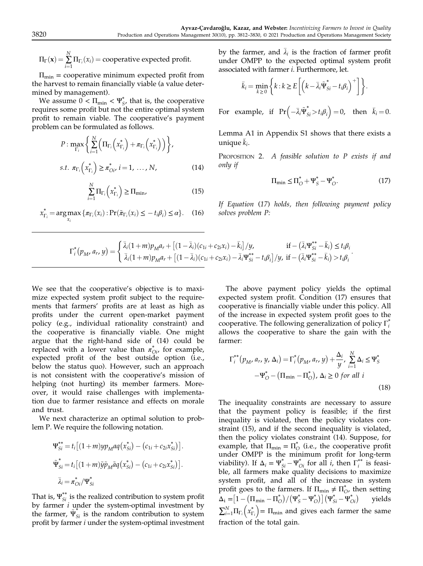$$
\Pi_{\Gamma}(\mathbf{x}) = \sum_{i=1}^{N} \Pi_{\Gamma_i}(x_i) = \text{cooperative expected profit.}
$$

 $\Pi_{\min}$  = cooperative minimum expected profit from the harvest to remain financially viable (a value determined by management).

We assume  $0 < \Pi_{\min} < \Psi_{S'}^*$ , that is, the cooperative requires some profit but not the entire optimal system profit to remain viable. The cooperative's payment problem can be formulated as follows.

$$
P: \max_{\Gamma_i} \left\{ \sum_{i=1}^N \left( \Pi_{\Gamma_i} \left( x_{\Gamma_i}^* \right) + \pi_{\Gamma_i} \left( x_{\Gamma_i}^* \right) \right) \right\},
$$
  
s.t.  $\pi_{\Gamma_i} \left( x_{\Gamma_i}^* \right) \ge \pi_{O_i}^*, i = 1, ..., N,$  (14)

$$
\sum_{i=1}^{N} \Pi_{\Gamma_i} \left( x_{\Gamma_i}^* \right) \ge \Pi_{\min},\tag{15}
$$

$$
x_{\Gamma_i}^* = \arg \max_{x_i} \{ \pi_{\Gamma_i}(x_i) : \Pr(\tilde{\pi}_{\Gamma_i}(x_i) \leq -t_i \beta_i) \leq \alpha \}.
$$
 (16)

by the farmer, and  $\bar{\lambda}_i$  is the fraction of farmer profit under OMPP to the expected optimal system profit associated with farmer i. Furthermore, let.

$$
\bar{k}_i = \min_{k \geq 0} \left\{ k : k \geq E \left[ \left( k - \bar{\lambda}_i \tilde{\Psi}_{Si}^* - t_i \beta_i \right)^+ \right] \right\}.
$$

For example, if  $Pr(-\bar{\lambda}_i \tilde{\Psi}_{Si}^* > t_i \beta_i) = 0$ , then  $\bar{k}_i = 0$ .

Lemma A1 in Appendix S1 shows that there exists a unique  $\bar{k}_i$ .

PROPOSITION 2. A feasible solution to P exists if and only if

$$
\Pi_{\min} \le \Pi_{O}^* + \Psi_{S}^* - \Psi_{O}^*.
$$
 (17)

If Equation (17) holds, then following payment policy solves problem P:

$$
\Gamma_i^*(p_M, a_r, y) = \begin{cases} \bar{\lambda}_i (1+m) p_M a_r + \left[ (1-\bar{\lambda}_i)(c_{1i} + c_{2i} x_i) - \bar{k}_i \right] / y, & \text{if } -(\bar{\lambda}_i \Psi_{Si}^{**} - \bar{k}_i) \le t_i \beta_i \\ \bar{\lambda}_i (1+m) p_M a_r + \left[ (1-\bar{\lambda}_i)(c_{1i} + c_{2i} x_i) - \bar{\lambda}_i \Psi_{Si}^{**} - t_i \beta_i \right] / y, & \text{if } -(\bar{\lambda}_i \Psi_{Si}^{**} - \bar{k}_i) > t_i \beta_i \end{cases}.
$$

We see that the cooperative's objective is to maximize expected system profit subject to the requirements that farmers' profits are at least as high as profits under the current open-market payment policy (e.g., individual rationality constraint) and the cooperative is financially viable. One might argue that the right-hand side of (14) could be replaced with a lower value than  $\pi_{Oi}^*$  for example, expected profit of the best outside option (i.e., below the status quo). However, such an approach is not consistent with the cooperative's mission of helping (not hurting) its member farmers. Moreover, it would raise challenges with implementation due to farmer resistance and effects on morale and trust.

We next characterize an optimal solution to problem P. We require the following notation.

$$
\Psi_{Si}^{**} = t_i [(1 + m)yp_M aq(x_{Si}^*) - (c_{1i} + c_{2i}x_{Si}^*)].
$$
  

$$
\tilde{\Psi}_{Si}^* = t_i [(1 + m)\tilde{y}\tilde{p}_M \tilde{a}q(x_{Si}^*) - (c_{1i} + c_{2i}x_{Si}^*)].
$$
  

$$
\bar{\lambda}_i = \pi_{oi}^* / \Psi_{Si}^*
$$

That is,  $\Psi_{Si}^{**}$  is the realized contribution to system profit by farmer  $i$  under the system-optimal investment by the farmer,  $\tilde{\Psi}_{Si}^{*}$  is the random contribution to system profit by farmer i under the system-optimal investment

The above payment policy yields the optimal expected system profit. Condition (17) ensures that cooperative is financially viable under this policy. All of the increase in expected system profit goes to the cooperative. The following generalization of policy  $\Gamma_i^*$ allows the cooperative to share the gain with the farmer:

$$
\Gamma_i^{**}(p_M, a_r, y, \Delta_i) = \Gamma_i^*(p_M, a_r, y) + \frac{\Delta_i}{y}, \sum_{i=1}^N \Delta_i \le \Psi_S^*
$$
  

$$
-\Psi_O^* - (\Pi_{\min} - \Pi_O^*), \Delta_i \ge 0 \text{ for all } i
$$
(18)

The inequality constraints are necessary to assure that the payment policy is feasible; if the first inequality is violated, then the policy violates constraint (15), and if the second inequality is violated, then the policy violates constraint (14). Suppose, for example, that  $\Pi_{\min} = \Pi_{\text{O}}^*$  (i.e., the cooperative profit under OMPP is the minimum profit for long-term viability). If  $\Delta_i = \Psi_{Si}^* - \Psi_{oi}^*$  for all *i*, then  $\Gamma_i^{**}$  is feasi-<br>ble all farmers make quality decisions to maximize ble, all farmers make quality decisions to maximize system profit, and all of the increase in system profit goes to the farmers. If  $\Pi_{\text{min}} \neq \Pi_{\text{O}}^*$ , then setting  $\Delta_i = [1 - (\Pi_{\min} - \Pi_{\mathcal{O}}^*)/(\Psi_{\mathcal{S}}^* - \Psi_{\mathcal{O}}^*)](\Psi_{\mathcal{S}i}^* - \Psi_{\mathcal{O}i}^*)$  yields  $\sum_{i=1}^{N} \Pi_{\Gamma_i} (x_{\Gamma_i}^*) = \Pi_{\text{min}}$  and gives each farmer the same fraction of the total gain.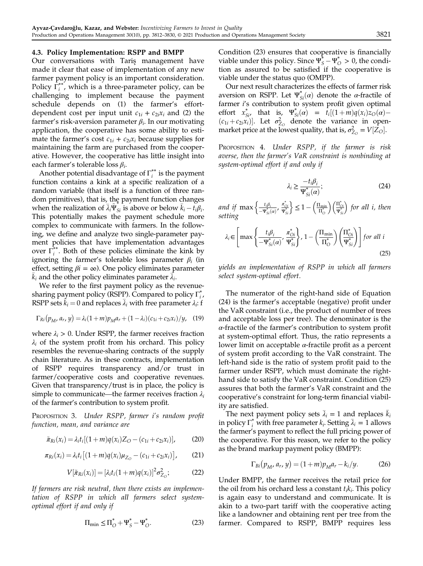#### 4.3. Policy Implementation: RSPP and BMPP

Our conversations with Taris<sub>s</sub> management have made it clear that ease of implementation of any new farmer payment policy is an important consideration. Policy  $\overline{\Gamma}_i^{**}$ , which is a three-parameter policy, can be challenging to implement because the payment schedule depends on (1) the farmer's effortdependent cost per input unit  $c_{1i} + c_{2i}x_i$  and (2) the farmer's risk-aversion parameter  $\beta_i$ . In our motivating application, the cooperative has some ability to estimate the farmer's cost  $c_{1i} + c_{2i}x_i$  because supplies for maintaining the farm are purchased from the cooperative. However, the cooperative has little insight into each farmer's tolerable loss  $\beta_i$ .

Another potential disadvantage of  $\Gamma_i^{**}$  is the payment function contains a kink at a specific realization of a random variable (that itself is a function of three random primitives), that is, the payment function changes when the realization of  $\overline{\lambda}_i \widetilde{\Psi}_{Si}$  is above or below  $\overline{k}_i - t_i \beta_i$ .<br>This potentially makes the payment schedule more This potentially makes the payment schedule more complex to communicate with farmers. In the following, we define and analyze two single-parameter payment policies that have implementation advantages over  $\Gamma_i^{**}$ . Both of these policies eliminate the kink by ignoring the farmer's tolerable loss parameter  $\beta_i$  (in effect, setting  $\beta i = \infty$ ). One policy eliminates parameter  $\bar{k}_i$  and the other policy eliminates parameter  $\bar{\lambda}_i$ .

We refer to the first payment policy as the revenuesharing payment policy (RSPP). Compared to policy  $\Gamma_i^*$ , RSPP sets  $\vec{k}_i = 0$  and replaces  $\vec{\lambda}_i$  with free parameter  $\lambda_i$ : f

$$
\Gamma_{Ri}(p_M, a_r, y) = \lambda_i (1+m) p_M a_r + (1-\lambda_i)(c_{1i} + c_{2i} x_i)/y, \quad (19)
$$

where  $\lambda_i > 0$ . Under RSPP, the farmer receives fraction  $\lambda_i$  of the system profit from his orchard. This policy resembles the revenue-sharing contracts of the supply chain literature. As in these contracts, implementation of RSPP requires transparency and/or trust in farmer/cooperative costs and cooperative revenues. Given that transparency/trust is in place, the policy is simple to communicate—the farmer receives fraction  $\lambda_i$ of the farmer's contribution to system profit.

PROPOSITION 3. Under RSPP, farmer i's random profit function, mean, and variance are

$$
\tilde{\pi}_{Ri}(x_i) = \lambda_i t_i [(1+m)q(x_i)Z_O - (c_{1i} + c_{2i}x_i)],
$$
 (20)

$$
\pi_{Ri}(x_i) = \lambda_i t_i \left[ (1+m) q(x_i) \mu_{Z_O} - (c_{1i} + c_{2i} x_i) \right],
$$
 (21)

$$
V[\tilde{\pi}_{Ri}(x_i)] = [\lambda_i t_i (1+m) q(x_i)]^2 \sigma_{Z_O}^2; \tag{22}
$$

If farmers are risk neutral, then there exists an implementation of RSPP in which all farmers select systemoptimal effort if and only if

$$
\Pi_{\min} \le \Pi_{\mathcal{O}}^* + \Psi_{\mathcal{S}}^* - \Psi_{\mathcal{O}}^*.
$$
\n(23)

Condition (23) ensures that cooperative is financially viable under this policy. Since  $\Psi_S^* - \Psi_O^* > 0$ , the condition as assumed to be satisfied if the connective is tion as assured to be satisfied if the cooperative is viable under the status quo (OMPP).

Our next result characterizes the effects of farmer risk aversion on RSPP. Let  $\Psi_{Si}^*(\alpha)$  denote the *α*-fractile of tarmer i's contribution to system profit given optimal farmer i's contribution to system profit given optimal effort  $x_{Si}^*$ , that is,  $\Psi_{Si}^*(\alpha) = \bar{t}_i[(1+m)q(x_i)z_O(\alpha) (c_{1i}+c_{2i}x_i)$ . Let  $\sigma_{Z_O}^2$  denote the variance in open-<br>market price at the lowest quality that is  $\sigma^2 = V[Z_O]$ market price at the lowest quality, that is,  $\sigma_{Z_O}^2 = V[Z_O].$ 

PROPOSITION 4. Under RSPP, if the farmer is risk averse, then the farmer's VaR constraint is nonbinding at system-optimal effort if and only if

$$
\lambda_i \ge \frac{-t_i \beta_i}{\Psi_{Si}^*(\alpha)};
$$
\n(24)

and if  $\max\left\{\frac{t_i\beta_i}{-\Psi^*_{Si}(\alpha)}, \frac{\pi^*_{oi}}{\Psi^*_{Si}}\right\} \leq 1 - \left(\frac{\Pi_{\min}}{\Pi^*_{oi}}\right)$  $\left(\frac{\Pi_{\min}}{\Pi_{\circ}^*}\right) \left(\frac{\Pi_{\circ i}^*}{\Psi_{si}^*}\right)$  for all i, then setting

$$
\lambda_i \in \left[ \max \left\{ \frac{t_i \beta_i}{-\Psi^*_{Si}(\alpha)}, \frac{\pi^*_{Oi}}{\Psi^*_{Si}} \right\}, 1 - \left( \frac{\Pi_{\min}}{\Pi^*_{O}} \right) \left( \frac{\Pi^*_{Oi}}{\Psi^*_{Si}} \right) \right] \text{ for all } i
$$
\n(25)

yields an implementation of RSPP in which all farmers select system-optimal effort.

The numerator of the right-hand side of Equation (24) is the farmer's acceptable (negative) profit under the VaR constraint (i.e., the product of number of trees and acceptable loss per tree). The denominator is the  $\alpha$ -fractile of the farmer's contribution to system profit at system-optimal effort. Thus, the ratio represents a lower limit on acceptable  $\alpha$ -fractile profit as a percent of system profit according to the VaR constraint. The left-hand side is the ratio of system profit paid to the farmer under RSPP, which must dominate the righthand side to satisfy the VaR constraint. Condition (25) assures that both the farmer's VaR constraint and the cooperative's constraint for long-term financial viability are satisfied.

The next payment policy sets  $\bar{\lambda}_i = 1$  and replaces  $\bar{k}_i$ in policy  $\Gamma_i^*$  with free parameter  $k_i$ . Setting  $\bar{\lambda}_i = 1$  allows the farmer's payment to reflect the full pricing power of the cooperative. For this reason, we refer to the policy as the brand markup payment policy (BMPP):

$$
\Gamma_{Bi}(p_M, a_r, y) = (1 + m)p_M a_r - k_i/y.
$$
 (26)

Under BMPP, the farmer receives the retail price for the oil from his orchard less a constant  $t_i k_i$ . This policy is again easy to understand and communicate. It is akin to a two-part tariff with the cooperative acting like a landowner and obtaining rent per tree from the farmer. Compared to RSPP, BMPP requires less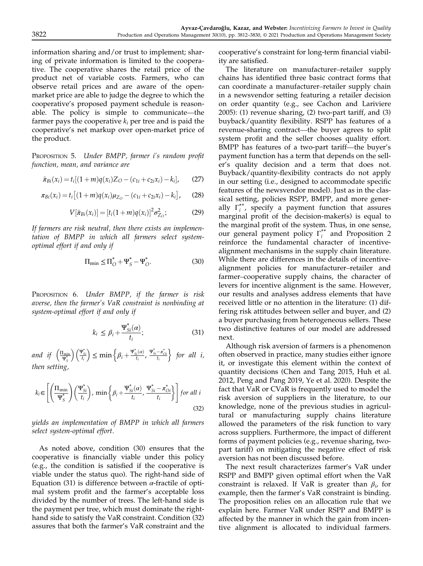information sharing and/or trust to implement; sharing of private information is limited to the cooperative. The cooperative shares the retail price of the product net of variable costs. Farmers, who can observe retail prices and are aware of the openmarket price are able to judge the degree to which the cooperative's proposed payment schedule is reasonable. The policy is simple to communicate—the farmer pays the cooperative  $k_i$  per tree and is paid the cooperative's net markup over open-market price of the product.

PROPOSITION 5. Under BMPP, farmer i's random profit function, mean, and variance are

$$
\tilde{\pi}_{Bi}(x_i) = t_i[(1+m)q(x_i)Z_O - (c_{1i} + c_{2i}x_i) - k_i],
$$
 (27)

$$
\pi_{Bi}(x_i) = t_i \left[ (1+m)q(x_i)\mu_{Z_O} - (c_{1i} + c_{2i}x_i) - k_i \right],
$$
 (28)

$$
V[\tilde{\pi}_{Bi}(x_i)] = [t_i(1+m)q(x_i)]^2 \sigma_{Z_O}^2; \qquad (29)
$$

If farmers are risk neutral, then there exists an implementation of BMPP in which all farmers select systemoptimal effort if and only if

$$
\Pi_{\min} \le \Pi_{\mathcal{O}}^* + \Psi_{\mathcal{S}}^* - \Psi_{\mathcal{O}}^*.
$$
 (30)

PROPOSITION 6. Under BMPP, if the farmer is risk averse, then the farmer's VaR constraint is nonbinding at system-optimal effort if and only if

$$
k_i \le \beta_i + \frac{\Psi_{Si}^*(\alpha)}{t_i};\tag{31}
$$

and if  $\left(\frac{\Pi_{\min}}{\Psi_{S}^{*}}\right)$  $\left(\frac{\Pi_{\min}}{\Psi_{S}^{*}}\right) \left(\frac{\Psi_{Si}^{*}}{t_{i}}\right) \leq \min\left\{\beta_{i}+\frac{\Psi_{Si}^{*}(\alpha)}{t_{i}},\frac{\Psi_{Si}^{*}-\pi_{oi}^{*}}{t_{i}}\right\}$  for all i, then setting,

$$
k_i \in \left[ \left( \frac{\Pi_{\min}}{\Psi_{\mathcal{S}}^*} \right) \left( \frac{\Psi_{\mathcal{S}i}^*}{t_i} \right), \ \min \left\{ \beta_i + \frac{\Psi_{\mathcal{S}i}^* (\alpha)}{t_i}, \ \frac{\Psi_{\mathcal{S}i}^* - \pi_{\mathcal{O}i}^*}{t_i} \right\} \right] \text{ for all } i
$$
\n(32)

yields an implementation of BMPP in which all farmers select system-optimal effort.

As noted above, condition (30) ensures that the cooperative is financially viable under this policy (e.g., the condition is satisfied if the cooperative is viable under the status quo). The right-hand side of Equation (31) is difference between  $\alpha$ -fractile of optimal system profit and the farmer's acceptable loss divided by the number of trees. The left-hand side is the payment per tree, which must dominate the righthand side to satisfy the VaR constraint. Condition (32) assures that both the farmer's VaR constraint and the

cooperative's constraint for long-term financial viability are satisfied.

The literature on manufacturer–retailer supply chains has identified three basic contract forms that can coordinate a manufacturer–retailer supply chain in a newsvendor setting featuring a retailer decision on order quantity (e.g., see Cachon and Lariviere 2005): (1) revenue sharing, (2) two-part tariff, and (3) buyback/quantity flexibility. RSPP has features of a revenue-sharing contract—the buyer agrees to split system profit and the seller chooses quality effort. BMPP has features of a two-part tariff—the buyer's payment function has a term that depends on the seller's quality decision and a term that does not. Buyback/quantity-flexibility contracts do not apply in our setting (i.e., designed to accommodate specific features of the newsvendor model). Just as in the classical setting, policies RSPP, BMPP, and more generally  $\Gamma_i^{**}$ , specify a payment function that assures marginal profit of the decision-maker(s) is equal to the marginal profit of the system. Thus, in one sense, our general payment policy Γ<sup>\*\*</sup> and Proposition 2 reinforce the fundamental character of incentivealignment mechanisms in the supply chain literature. While there are differences in the details of incentivealignment policies for manufacturer–retailer and farmer–cooperative supply chains, the character of levers for incentive alignment is the same. However, our results and analyses address elements that have received little or no attention in the literature: (1) differing risk attitudes between seller and buyer, and (2) a buyer purchasing from heterogeneous sellers. These two distinctive features of our model are addressed next.

Although risk aversion of farmers is a phenomenon often observed in practice, many studies either ignore it, or investigate this element within the context of quantity decisions (Chen and Tang 2015, Huh et al. 2012, Peng and Pang 2019, Ye et al. 2020). Despite the fact that VaR or CVaR is frequently used to model the risk aversion of suppliers in the literature, to our knowledge, none of the previous studies in agricultural or manufacturing supply chains literature allowed the parameters of the risk function to vary across suppliers. Furthermore, the impact of different forms of payment policies (e.g., revenue sharing, twopart tariff) on mitigating the negative effect of risk aversion has not been discussed before.

The next result characterizes farmer's VaR under RSPP and BMPP given optimal effort when the VaR constraint is relaxed. If VaR is greater than  $\beta_i$ , for example, then the farmer's VaR constraint is binding. The proposition relies on an allocation rule that we explain here. Farmer VaR under RSPP and BMPP is affected by the manner in which the gain from incentive alignment is allocated to individual farmers.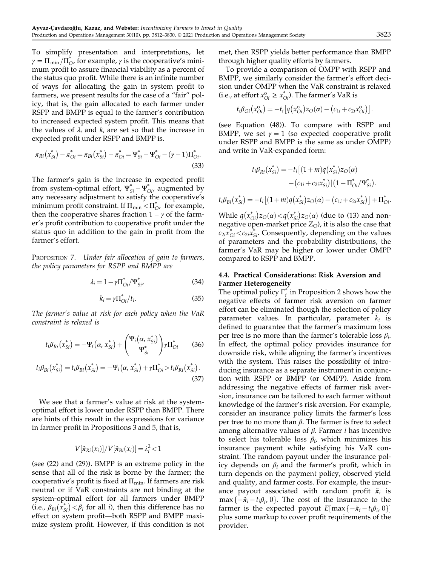To simplify presentation and interpretations, let  $\gamma = \prod_{\min}/\prod_{O}^{*}$ , for example,  $\gamma$  is the cooperative's minimum profit to assure financial viability as a percent of the status quo profit. While there is an infinite number of ways for allocating the gain in system profit to farmers, we present results for the case of a "fair" policy, that is, the gain allocated to each farmer under RSPP and BMPP is equal to the farmer's contribution to increased expected system profit. This means that the values of  $\lambda_i$  and  $k_i$  are set so that the increase in expected profit under RSPP and BMPP is.

$$
\pi_{Ri}(x_{Si}^*) - \pi_{Oi}^* = \pi_{Bi}(x_{Si}^*) - \pi_{Oi}^* = \Psi_{Si}^* - \Psi_{Oi}^* - (\gamma - 1)\Pi_{Oi}^*.
$$
\n(33)

The farmer's gain is the increase in expected profit from system-optimal effort,  $\Psi_{Si}^* - \Psi_{Di}^*$ , augmented by<br>any necessary adjustment to satisfy the cooperative's any necessary adjustment to satisfy the cooperative's minimum profit constraint. If  $\Pi_{\min} < \Pi_{\text{O}}^*$ , for example, then the cooperative shares fraction  $1 - \gamma$  of the farmer's profit contribution to cooperative profit under the status quo in addition to the gain in profit from the farmer's effort.

PROPOSITION 7. Under fair allocation of gain to farmers, the policy parameters for RSPP and BMPP are

$$
\lambda_i = 1 - \gamma \Pi_{0i}^* / \Psi_{Si'}^* \tag{34}
$$

$$
k_i = \gamma \Pi_{\text{O}i}^* / t_i. \tag{35}
$$

The farmer's value at risk for each policy when the VaR constraint is relaxed is

$$
t_i \beta_{Ri}(x_{Si}^*) = -\Psi_i(\alpha, x_{Si}^*) + \left(\frac{\Psi_i(\alpha, x_{Si}^*)}{\Psi_{Si}^*}\right) \gamma \Pi_{Oi}^* \qquad (36)
$$

$$
t_i \beta_{Bi}(x_{Si}^*) = t_i \beta_{Bi}(x_{Si}^*) = -\Psi_i(\alpha, x_{Si}^*) + \gamma \Pi_{Di}^* > t_i \beta_{Ri}(x_{Si}^*).
$$
\n(37)

We see that a farmer's value at risk at the systemoptimal effort is lower under RSPP than BMPP. There are hints of this result in the expressions for variance in farmer profit in Propositions 3 and 5, that is,

$$
V[\tilde{\pi}_{Ri}(x_i)]/V[\tilde{\pi}_{Bi}(x_i)]=\lambda_i^2<1
$$

(see (22) and (29)). BMPP is an extreme policy in the sense that all of the risk is borne by the farmer; the cooperative's profit is fixed at  $\Pi_{\text{min}}$ . If farmers are risk neutral or if VaR constraints are not binding at the system-optimal effort for all farmers under BMPP (i.e.,  $\beta_{Bi}(\bar{x}_{Si}^*) < \beta_i$  for all *i*), then this difference has no effect on system profit—both RSPP and BMPP maximize system profit. However, if this condition is not met, then RSPP yields better performance than BMPP through higher quality efforts by farmers.

To provide a comparison of OMPP with RSPP and BMPP, we similarly consider the farmer's effort decision under OMPP when the VaR constraint is relaxed (i.e., at effort  $x_{0i}^{\circ} \geq x_{0i}^*$ ). The farmer's VaR is

$$
t_i \beta_{0i} (x_{0i}^{\text{o}}) = -t_i \big[ q(x_{0i}^{\text{o}}) z_{0}(a) - (c_{1i} + c_{2i} x_{0i}^{\text{o}}) \big].
$$

(see Equation (48)). To compare with RSPP and BMPP, we set  $\gamma = 1$  (so expected cooperative profit under RSPP and BMPP is the same as under OMPP) and write in VaR-expanded form:

$$
t_i \beta_{Ri}(x_{Si}^*) = -t_i [(1+m)q(x_{Si}^*)z_O(\alpha) - (c_{1i} + c_{2i}x_{Si}^*)](1 - \Pi_{OI}^* / \Psi_{Si}^*).
$$
  

$$
t_i \beta_{Bi}(x_{Si}^*) = -t_i [(1+m)q(x_{Si}^*)z_O(\alpha) - (c_{1i} + c_{2i}x_{Si}^*)] + \Pi_{OI}^*.
$$

While  $q(x_{oi}^*)z_O(a) < q(x_{Si}^*)z_O(a)$  (due to (13) and non-<br>persime open-market price  $Z_O$ ) it is also the case that negative open-market price  $Z_{\text{O}}$ ), it is also the case that  $c_{2i}\overline{x}_{0i}^* < c_{2i}\overline{x}_{Si}^*$ . Consequently, depending on the values of parameters and the probability distributions, the farmer's VaR may be higher or lower under OMPP compared to RSPP and BMPP.

#### 4.4. Practical Considerations: Risk Aversion and Farmer Heterogeneity

The optimal policy  $\Gamma_i^*$  in Proposition 2 shows how the negative effects of farmer risk aversion on farmer effort can be eliminated though the selection of policy parameter values. In particular, parameter  $\overline{k}_i$  is defined to guarantee that the farmer's maximum loss per tree is no more than the farmer's tolerable loss  $\beta_i$ . In effect, the optimal policy provides insurance for downside risk, while aligning the farmer's incentives with the system. This raises the possibility of introducing insurance as a separate instrument in conjunction with RSPP or BMPP (or OMPP). Aside from addressing the negative effects of farmer risk aversion, insurance can be tailored to each farmer without knowledge of the farmer's risk aversion. For example, consider an insurance policy limits the farmer's loss per tree to no more than  $\beta$ . The farmer is free to select among alternative values of  $β$ . Farmer *i* has incentive to select his tolerable loss  $\beta_i$ , which minimizes his insurance payment while satisfying his VaR constraint. The random payout under the insurance policy depends on  $\beta_i$  and the farmer's profit, which in turn depends on the payment policy, observed yield and quality, and farmer costs. For example, the insurance payout associated with random profit  $\tilde{\pi}_i$  is  $\max \{-\tilde{\pi}_i - t_i \beta_i, 0\}$ . The cost of the insurance to the farmer is the expected payout  $E$ [max $\{-\tilde{\pi}_i - t_i\beta_i, 0\}$ ] plus some markup to cover profit requirements of the provider.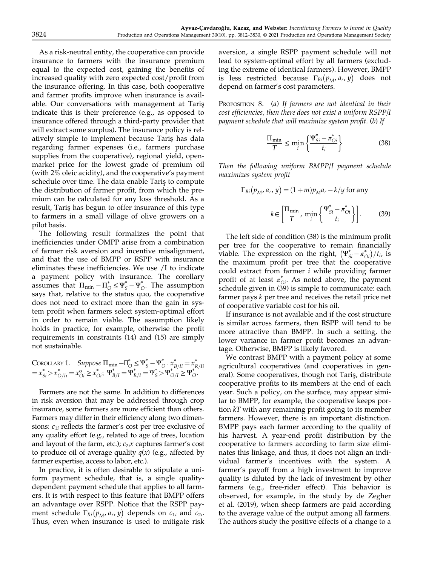As a risk-neutral entity, the cooperative can provide insurance to farmers with the insurance premium equal to the expected cost, gaining the benefits of increased quality with zero expected cost/profit from the insurance offering. In this case, both cooperative and farmer profits improve when insurance is available. Our conversations with management at Taris¸ indicate this is their preference (e.g., as opposed to insurance offered through a third-party provider that will extract some surplus). The insurance policy is relatively simple to implement because Taris¸ has data regarding farmer expenses (i.e., farmers purchase supplies from the cooperative), regional yield, openmarket price for the lowest grade of premium oil (with 2% oleic acidity), and the cooperative's payment schedule over time. The data enable Taris¸ to compute the distribution of farmer profit, from which the premium can be calculated for any loss threshold. As a result, Tariş has begun to offer insurance of this type to farmers in a small village of olive growers on a pilot basis.

The following result formalizes the point that inefficiencies under OMPP arise from a combination of farmer risk aversion and incentive misalignment, and that the use of BMPP or RSPP with insurance eliminates these inefficiencies. We use /I to indicate a payment policy with insurance. The corollary assumes that  $\Pi_{\min} - \Pi_{\Omega}^* \leq \Psi_{\Omega}^* - \Psi_{\Omega}^*$ . The assumption says that, relative to the status quo, the cooperative does not need to extract more than the gain in system profit when farmers select system-optimal effort in order to remain viable. The assumption likely holds in practice, for example, otherwise the profit requirements in constraints (14) and (15) are simply not sustainable.

COROLLARY 1. Suppose 
$$
\Pi_{\text{min}} - \Pi_{\bigcirc}^* \leq \Psi_S^* - \Psi_{\bigcirc}^* \cdot x_{B/Ii}^* = x_{R/Ii}^* = x_{Si}^* > x_{O/Ii}^* = x_{Oi}^* \geq x_{Oi}^*; \ \Psi_{B/I}^* = \Psi_{R/I}^* = \Psi_S^* > \Psi_{O/I}^* \geq \Psi_O^*.
$$

Farmers are not the same. In addition to differences in risk aversion that may be addressed through crop insurance, some farmers are more efficient than others. Farmers may differ in their efficiency along two dimensions:  $c_{1i}$  reflects the farmer's cost per tree exclusive of any quality effort (e.g., related to age of trees, location and layout of the farm, etc.);  $c_{2i}x$  captures farmer's cost to produce oil of average quality  $q(x)$  (e.g., affected by farmer expertise, access to labor, etc.).

In practice, it is often desirable to stipulate a uniform payment schedule, that is, a single qualitydependent payment schedule that applies to all farmers. It is with respect to this feature that BMPP offers an advantage over RSPP. Notice that the RSPP payment schedule  $\Gamma_{Ri}(p_M, a_r, y)$  depends on  $c_{1i}$  and  $c_{2i}$ . Thus, even when insurance is used to mitigate risk aversion, a single RSPP payment schedule will not lead to system-optimal effort by all farmers (excluding the extreme of identical farmers). However, BMPP is less restricted because  $\Gamma_{Bi}(p_M, a_r, y)$  does not depend on farmer's cost parameters.

PROPOSITION 8. (a) If farmers are not identical in their cost efficiencies, then there does not exist a uniform RSPP/I payment schedule that will maximize system profit. (b) If

$$
\frac{\Pi_{\min}}{T} \le \min_{i} \left\{ \frac{\Psi_{Si}^{*} - \pi_{oi}^{*}}{t_i} \right\} \tag{38}
$$

Then the following uniform BMPP/I payment schedule maximizes system profit

$$
\Gamma_{Bi}(p_M, a_r, y) = (1+m)p_M a_r - k/y \text{ for any}
$$
\n
$$
k \in \left[\frac{\Pi_{\min}}{T}, \min_i \left\{\frac{\Psi_{Si}^* - \pi_{oi}^*}{t_i}\right\}\right].
$$
\n(39)

The left side of condition (38) is the minimum profit per tree for the cooperative to remain financially viable. The expression on the right,  $(\Psi_{Si}^* - \pi_{Oi}^*)/t_i$ , is<br>the maximum profit per tree that the cooperative the maximum profit per tree that the cooperative could extract from farmer i while providing farmer profit of at least  $\pi_{oi}^*$ . As noted above, the payment schedule given in (39) is simple to communicate: each farmer pays k per tree and receives the retail price net of cooperative variable cost for his oil.

If insurance is not available and if the cost structure is similar across farmers, then RSPP will tend to be more attractive than BMPP. In such a setting, the lower variance in farmer profit becomes an advantage. Otherwise, BMPP is likely favored.

We contrast BMPP with a payment policy at some agricultural cooperatives (and cooperatives in general). Some cooperatives, though not Taris¸, distribute cooperative profits to its members at the end of each year. Such a policy, on the surface, may appear similar to BMPP, for example, the cooperative keeps portion  $kT$  with any remaining profit going to its member farmers. However, there is an important distinction. BMPP pays each farmer according to the quality of his harvest. A year-end profit distribution by the cooperative to farmers according to farm size eliminates this linkage, and thus, it does not align an individual farmer's incentives with the system. A farmer's payoff from a high investment to improve quality is diluted by the lack of investment by other farmers (e.g., free-rider effect). This behavior is observed, for example, in the study by de Zegher et al. (2019), when sheep farmers are paid according to the average value of the output among all farmers. The authors study the positive effects of a change to a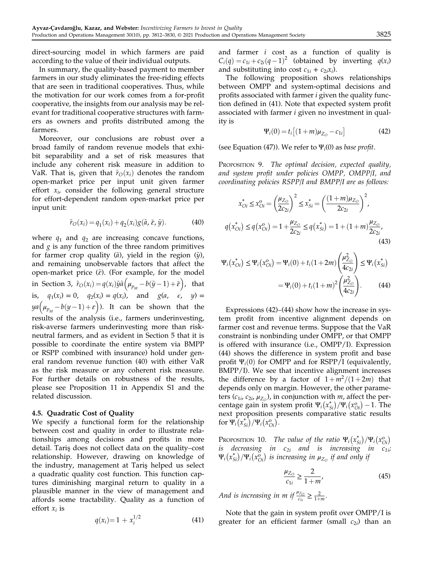direct-sourcing model in which farmers are paid according to the value of their individual outputs.

In summary, the quality-based payment to member farmers in our study eliminates the free-riding effects that are seen in traditional cooperatives. Thus, while the motivation for our work comes from a for-profit cooperative, the insights from our analysis may be relevant for traditional cooperative structures with farmers as owners and profits distributed among the farmers.

Moreover, our conclusions are robust over a broad family of random revenue models that exhibit separability and a set of risk measures that include any coherent risk measure in addition to VaR. That is, given that  $\tilde{r}_O(x_i)$  denotes the random open-market price per input unit given farmer effort  $x_i$ , consider the following general structure for effort-dependent random open-market price per input unit:

$$
\tilde{r}_O(x_i) = q_1(x_i) + q_2(x_i)g(\tilde{a}, \tilde{\varepsilon}, \tilde{y}).
$$
\n(40)

where  $q_1$  and  $q_2$  are increasing concave functions, and  $g$  is any function of the three random primitives for farmer crop quality  $(\tilde{a})$ , yield in the region  $(\tilde{y})$ , and remaining unobservable factors that affect the open-market price  $(\tilde{\varepsilon})$ . (For example, for the model in Section 3,  $\tilde{r}_O(x_i) = q(x_i)\tilde{y}\tilde{a}\left(\mu_{p_M} - b(\tilde{y}-1) + \tilde{\varepsilon}\right)$ , that is,  $q_1(x_i) = 0$ ,  $q_2(x_i) = q(x_i)$ , and  $g(a, \epsilon, y) =$  $ya(u_{p_M} - b(y-1) + \varepsilon)$ ). It can be shown that the results of the analysis (i.e., farmers underinvesting, risk-averse farmers underinvesting more than riskneutral farmers, and as evident in Section 5 that it is possible to coordinate the entire system via BMPP or RSPP combined with insurance) hold under general random revenue function (40) with either VaR as the risk measure or any coherent risk measure. For further details on robustness of the results, please see Proposition 11 in Appendix S1 and the related discussion.

#### 4.5. Quadratic Cost of Quality

We specify a functional form for the relationship between cost and quality in order to illustrate relationships among decisions and profits in more detail. Taris¸ does not collect data on the quality–cost relationship. However, drawing on knowledge of the industry, management at Taris¸ helped us select a quadratic quality cost function. This function captures diminishing marginal return to quality in a plausible manner in the view of management and affords some tractability. Quality as a function of effort  $x_i$  is

$$
q(x_i) = 1 + x_i^{1/2}
$$
 (41)

and farmer i cost as a function of quality is  $C_i(q) = c_{1i} + c_{2i}(q-1)^2$  (obtained by inverting  $q(x_i)$ and substituting into cost  $c_{1i} + c_{2i}x_i$ ).

The following proposition shows relationships between OMPP and system-optimal decisions and profits associated with farmer i given the quality function defined in (41). Note that expected system profit associated with farmer i given no investment in quality is

$$
\Psi_i(0) = t_i [(1+m)\mu_{Z_O} - c_{1i}] \tag{42}
$$

(see Equation (47)). We refer to  $\Psi_i(0)$  as *base profit*.

PROPOSITION 9. The optimal decision, expected quality, and system profit under policies OMPP, OMPP/I, and coordinating policies RSPP/I and BMPP/I are as follows:

$$
x_{oi}^{*} \le x_{oi}^{o} = \left(\frac{\mu_{Z_{oi}}}{2c_{2i}}\right)^{2} \le x_{Si}^{*} = \left(\frac{(1+m)\mu_{Z_{oi}}}{2c_{2i}}\right)^{2},
$$
  

$$
q(x_{oi}^{*}) \le q(x_{oi}^{o}) = 1 + \frac{\mu_{Z_{oi}}}{2c_{2i}} \le q(x_{Si}^{*}) = 1 + (1+m)\frac{\mu_{Z_{oi}}}{2c_{2i}},
$$
(43)

$$
\Psi_i(x_{0i}^*) \le \Psi_i(x_{0i}^0) = \Psi_i(0) + t_i(1+2m) \left(\frac{\mu_{Z_0}^2}{4c_{2i}}\right) \le \Psi_i(x_{Si}^*)
$$

$$
= \Psi_i(0) + t_i(1+m)^2 \left(\frac{\mu_{Z_0}^2}{4c_{2i}}\right).
$$
(44)

Expressions (42)–(44) show how the increase in system profit from incentive alignment depends on farmer cost and revenue terms. Suppose that the VaR constraint is nonbinding under OMPP, or that OMPP is offered with insurance (i.e., OMPP/I). Expression (44) shows the difference in system profit and base profit  $\Psi_i(0)$  for OMPP and for RSPP/I (equivalently, BMPP/I). We see that incentive alignment increases the difference by a factor of  $1+m^2/(1+2m)$  that depends only on margin. However, the other parameters ( $c_{1i}$ ,  $c_{2i}$ ,  $\mu_{Z_O}$ ), in conjunction with *m*, affect the percentage gain in system profit  $\Psi_i(x_{Si}^*) / \Psi_i(x_{Di}^0) - 1$ . The next proposition presents comparative static results for  $\Psi_i(x_{Si}^*)/\Psi_i(x_{Oi}^{\circ}).$ 

PROPOSITION 10. The value of the ratio  $\Psi_i(x_{Si}^*)/\Psi_i(x_{oi}^{\circ})$ is decreasing in  $c_{2i}$  and is increasing in  $c_{1i}$ ;  $\Psi_i(x_{Si}^*)/\Psi_i(x_{Oi}^{\delta})$  is increasing in  $\mu_{Z_O}$  if and only if

$$
\frac{\mu_{Z_O}}{c_{1i}} \ge \frac{2}{1+m'},\tag{45}
$$

And is increasing in m if  $\frac{\mu_{Z_{\text{O}}}}{c_{1i}} \geq \frac{2}{1+m}$ .

Note that the gain in system profit over OMPP/I is greater for an efficient farmer (small  $c_{2i}$ ) than an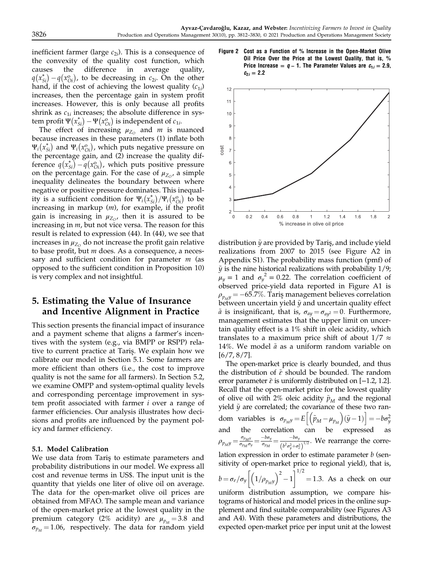inefficient farmer (large  $c_{2i}$ ). This is a consequence of the convexity of the quality cost function, which causes the difference in average quality,  $q(x_{Si}^*) - q(x_{Oi}^{\circ})$ , to be decreasing in  $c_{2i}$ . On the other hand if the cost of achieving the lowest quality  $(c_i)$ hand, if the cost of achieving the lowest quality  $(c_{1i})$ increases, then the percentage gain in system profit increases. However, this is only because all profits shrink as  $c_{1i}$  increases; the absolute difference in system profit  $\Psi(x_{Si}^*) - \Psi(x_{Oi}^0)$  is independent of  $c_{1i}$ .<br>The effect of increasing  $\mu$ - and  $m$  is not

The effect of increasing  $\mu_{Z_O}$  and *m* is nuanced because increases in these parameters (1) inflate both  $\Psi_i(x_{Si}^*)$  and  $\Psi_i(x_{Oi}^{\text{o}})$ , which puts negative pressure on the percentage gain, and (2) increase the quality difference  $q(x_{Si}^*) - q(x_{oi}^{\circ})$ , which puts positive pressure<br>on the percentage gain. For the case of  $y_{\sigma}$ , a simple on the percentage gain. For the case of  $\mu_{Z_{\scriptscriptstyle O}}$ , a simple inequality delineates the boundary between where negative or positive pressure dominates. This inequality is a sufficient condition for  $\Psi_i(x_{Si}^*)/\Psi_i(x_{Oi}^{\mathrm{o}})$  to be increasing in markup  $(m)$ , for example, if the profit gain is increasing in  $\mu_{Z_O}$ , then it is assured to be increasing in  $m$ , but not vice versa. The reason for this result is related to expression (44). In (44), we see that increases in  $\mu_{Z_0}$  do not increase the profit gain relative to base profit, but  $m$  does. As a consequence, a necessary and sufficient condition for parameter  $m$  (as opposed to the sufficient condition in Proposition 10) is very complex and not insightful.

### 5. Estimating the Value of Insurance and Incentive Alignment in Practice

This section presents the financial impact of insurance and a payment scheme that aligns a farmer's incentives with the system (e.g., via BMPP or RSPP) relative to current practice at Taris¸. We explain how we calibrate our model in Section 5.1. Some farmers are more efficient than others (i.e., the cost to improve quality is not the same for all farmers). In Section 5.2, we examine OMPP and system-optimal quality levels and corresponding percentage improvement in system profit associated with farmer i over a range of farmer efficiencies. Our analysis illustrates how decisions and profits are influenced by the payment policy and farmer efficiency.

#### 5.1. Model Calibration

We use data from Taris to estimate parameters and probability distributions in our model. We express all cost and revenue terms in US\$. The input unit is the quantity that yields one liter of olive oil on average. The data for the open-market olive oil prices are obtained from MFAO. The sample mean and variance of the open-market price at the lowest quality in the premium category (2% acidity) are  $\mu_{p_M} = 3.8$  and  $\sigma_{p_M}$  = 1.06, respectively. The data for random yield





distribution  $\tilde{y}$  are provided by Tariş, and include yield realizations from 2007 to 2015 (see Figure A2 in Appendix S1). The probability mass function (pmf) of  $\tilde{y}$  is the nine historical realizations with probability 1/9;  $\mu_y = 1$  and  $\sigma_y^2 = 0.22$ . The correlation coefficient of observed price-yield data reported in Figure A1 is  $\rho_{p_M y} = -65.7\%$ . Tariş management believes correlation between uncertain yield  $\tilde{y}$  and uncertain quality effect  $\tilde{a}$  is insignificant, that is,  $\sigma_{ay} = \sigma_{ay^2} = 0$ . Furthermore, management estimates that the upper limit on uncertain quality effect is a 1% shift in oleic acidity, which translates to a maximum price shift of about  $1/7 \approx$ 14%. We model  $\tilde{a}$  as a uniform random variable on [6/7, 8/7].

The open-market price is clearly bounded, and thus the distribution of  $\tilde{\varepsilon}$  should be bounded. The random error parameter  $\tilde{\varepsilon}$  is uniformly distributed on [−1.2, 1.2]. Recall that the open-market price for the lowest quality of olive oil with 2% oleic acidity  $\tilde{p}_M$  and the regional yield  $\tilde{y}$  are correlated; the covariance of these two random variables is  $\sigma_{p_M y} = E \left[ \left( \tilde{p}_M - \mu_{p_M} \right) (\tilde{y} - 1) \right] = -b \sigma_y^2$ and the correlation can be expressed as  $\rho_{p_M y} = \frac{\sigma_{p_M y}}{\sigma_{p_M} \sigma_y} = \frac{-b \sigma_y}{\sigma_{p_M}} = \frac{-b \sigma_y}{(b^2 \sigma_y^2 + \sigma_z^2)}$  $\frac{1}{2}$ . We rearrange the correlation expression in order to estimate parameter  $b$  (sensitivity of open-market price to regional yield), that is,  $b = \sigma_{\varepsilon}/\sigma_{y} \bigg[ \Big( 1/\rho_{p_{M}y} \Big)^{2} - 1$  $\left[ \begin{array}{cc} 1 & 2 \\ 2 & 1 \end{array} \right]^{1/2}$  $=$  1.3. As a check on our uniform distribution assumption, we compare histograms of historical and model prices in the online supplement and find suitable comparability (see Figures A3 and A4). With these parameters and distributions, the expected open-market price per input unit at the lowest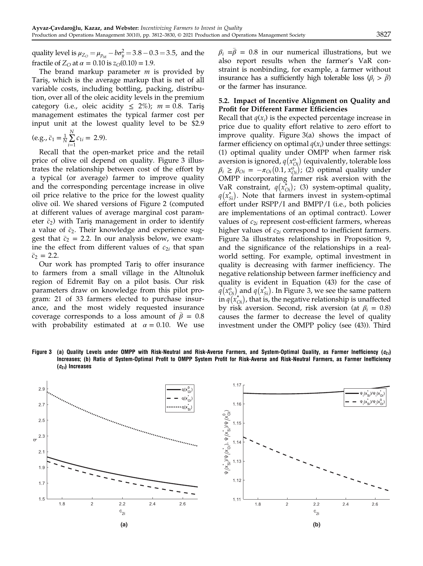quality level is  $\mu_{Z_O} = \mu_{p_M} - b\sigma_y^2 = 3.8 - 0.3 = 3.5$ , and the fractile of  $Z_{O}$  at  $\alpha = 0.10$  is  $z_{O}(0.10) = 1.9$ .

The brand markup parameter  $m$  is provided by Taris¸, which is the average markup that is net of all variable costs, including bottling, packing, distribution, over all of the oleic acidity levels in the premium category (i.e., oleic acidity  $\leq$  2%);  $m = 0.8$ . Taris management estimates the typical farmer cost per input unit at the lowest quality level to be \$2.9

$$
(\text{e.g., } \bar{c}_1 = \frac{1}{N} \sum_{i=1}^{N} c_{1i} = 2.9).
$$

 $i=1$ <br>Recall that the open-market price and the retail price of olive oil depend on quality. Figure 3 illustrates the relationship between cost of the effort by a typical (or average) farmer to improve quality and the corresponding percentage increase in olive oil price relative to the price for the lowest quality olive oil. We shared versions of Figure 2 (computed at different values of average marginal cost parameter  $\bar{c}_2$ ) with Tariş management in order to identify a value of  $\bar{c}_2$ . Their knowledge and experience suggest that  $\bar{c}_2$  = 2.2. In our analysis below, we examine the effect from different values of  $c_{2i}$  that span  $\bar{c}_2 = 2.2$ .

Our work has prompted Tariş to offer insurance to farmers from a small village in the Altınoluk region of Edremit Bay on a pilot basis. Our risk parameters draw on knowledge from this pilot program: 21 of 33 farmers elected to purchase insurance, and the most widely requested insurance coverage corresponds to a loss amount of  $\bar{\beta} = 0.8$ with probability estimated at  $\alpha = 0.10$ . We use

 $\beta_i = \bar{\beta} = 0.8$  in our numerical illustrations, but we also report results when the farmer's VaR constraint is nonbinding, for example, a farmer without insurance has a sufficiently high tolerable loss  $(\beta_i > \bar{\beta})$ or the farmer has insurance.

#### 5.2. Impact of Incentive Alignment on Quality and Profit for Different Farmer Efficiencies

Recall that  $q(x_i)$  is the expected percentage increase in price due to quality effort relative to zero effort to improve quality. Figure 3(a) shows the impact of farmer efficiency on optimal  $q(x_i)$  under three settings: (1) optimal quality under OMPP when farmer risk aversion is ignored,  $q(x_{O_i}^{\text{o}})$  (equivalently, tolerable loss  $\beta_i \ge \beta_{\text{Oi}} = -\pi_{\text{Oi}}(0.1, x_{\text{Oi}}^0)$ ; (2) optimal quality under<br>OMPP incorporating farmer risk aversion with the OMPP incorporating farmer risk aversion with the VaR constraint,  $q(x_{0i}^*)$ ; (3) system-optimal quality,  $q(x_{Si}^*)$ . Note that farmers invest in system-optimal effort under RSPP/I and BMPP/I (i.e., both policies are implementations of an optimal contract). Lower values of  $c_{2i}$  represent cost-efficient farmers, whereas higher values of  $c_{2i}$  correspond to inefficient farmers. Figure 3a illustrates relationships in Proposition 9, and the significance of the relationships in a realworld setting. For example, optimal investment in quality is decreasing with farmer inefficiency. The negative relationship between farmer inefficiency and quality is evident in Equation (43) for the case of  $q(x_{0i}^{\mathfrak{a}})$  and  $q(x_{Si}^*)$ . In Figure 3, we see the same pattern in  $q(x^*_{oi})$ , that is, the negative relationship is unaffected by risk aversion. Second, risk aversion (at  $\beta_i = 0.8$ ) causes the farmer to decrease the level of quality investment under the OMPP policy (see (43)). Third

Figure 3 (a) Quality Levels under OMPP with Risk-Neutral and Risk-Averse Farmers, and System-Optimal Quality, as Farmer Inefficiency ( $c_{2i}$ ) Increases; (b) Ratio of System-Optimal Profit to OMPP System Profit for Risk-Averse and Risk-Neutral Farmers, as Farmer Inefficiency  $(c_{2i})$  Increases

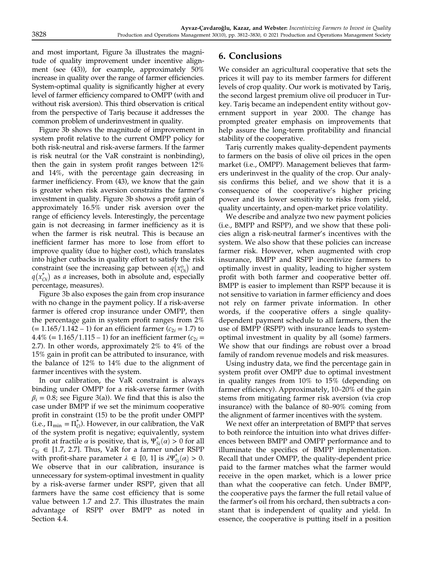and most important, Figure 3a illustrates the magnitude of quality improvement under incentive alignment (see (43)), for example, approximately 50% increase in quality over the range of farmer efficiencies. System-optimal quality is significantly higher at every level of farmer efficiency compared to OMPP (with and without risk aversion). This third observation is critical from the perspective of Taris¸ because it addresses the common problem of underinvestment in quality.

Figure 3b shows the magnitude of improvement in system profit relative to the current OMPP policy for both risk-neutral and risk-averse farmers. If the farmer is risk neutral (or the VaR constraint is nonbinding), then the gain in system profit ranges between 12% and 14%, with the percentage gain decreasing in farmer inefficiency. From (43), we know that the gain is greater when risk aversion constrains the farmer's investment in quality. Figure 3b shows a profit gain of approximately 16.5% under risk aversion over the range of efficiency levels. Interestingly, the percentage gain is not decreasing in farmer inefficiency as it is when the farmer is risk neutral. This is because an inefficient farmer has more to lose from effort to improve quality (due to higher cost), which translates into higher cutbacks in quality effort to satisfy the risk constraint (see the increasing gap between  $q(x_{0i}^{\circ})$  and  $q(x_{0i}^*)$  as a increases, both in absolute and, especially percentage, measures).

Figure 3b also exposes the gain from crop insurance with no change in the payment policy. If a risk-averse farmer is offered crop insurance under OMPP, then the percentage gain in system profit ranges from 2%  $(= 1.165/1.142 - 1)$  for an efficient farmer  $(c_{2i} = 1.7)$  to 4.4% (= 1.165/1.115 – 1) for an inefficient farmer ( $c_{2i}$  = 2.7). In other words, approximately 2% to 4% of the 15% gain in profit can be attributed to insurance, with the balance of 12% to 14% due to the alignment of farmer incentives with the system.

In our calibration, the VaR constraint is always binding under OMPP for a risk-averse farmer (with  $\beta_i = 0.8$ ; see Figure 3(a)). We find that this is also the case under BMPP if we set the minimum cooperative profit in constraint (15) to be the profit under OMPP (i.e.,  $\Pi_{\min} = \Pi_{\mathcal{O}}^*$ ). However, in our calibration, the VaR of the system profit is negative; equivalently, system profit at fractile  $\alpha$  is positive, that is,  $\Psi_{si}^{*}(\alpha) > 0$  for all  $c_0 \in [1\ 7\ 2\ 7]$ . Thus, VaR for a farmer under RSPP  $c_{2i} \in [1.7, 2.7]$ . Thus, VaR for a farmer under RSPP with profit-share parameter  $\lambda \in [0, 1]$  is  $\lambda \Psi_{Si}^{*}(\alpha) > 0$ .<br>We observe that in our calibration insurance is We observe that in our calibration, insurance is unnecessary for system-optimal investment in quality by a risk-averse farmer under RSPP, given that all farmers have the same cost efficiency that is some value between 1.7 and 2.7. This illustrates the main advantage of RSPP over BMPP as noted in Section 4.4.

### 6. Conclusions

We consider an agricultural cooperative that sets the prices it will pay to its member farmers for different levels of crop quality. Our work is motivated by Taris¸, the second largest premium olive oil producer in Turkey. Tariş became an independent entity without government support in year 2000. The change has prompted greater emphasis on improvements that help assure the long-term profitability and financial stability of the cooperative.

Taris¸ currently makes quality-dependent payments to farmers on the basis of olive oil prices in the open market (i.e., OMPP). Management believes that farmers underinvest in the quality of the crop. Our analysis confirms this belief, and we show that it is a consequence of the cooperative's higher pricing power and its lower sensitivity to risks from yield, quality uncertainty, and open-market price volatility.

We describe and analyze two new payment policies (i.e., BMPP and RSPP), and we show that these policies align a risk-neutral farmer's incentives with the system. We also show that these policies can increase farmer risk. However, when augmented with crop insurance, BMPP and RSPP incentivize farmers to optimally invest in quality, leading to higher system profit with both farmer and cooperative better off. BMPP is easier to implement than RSPP because it is not sensitive to variation in farmer efficiency and does not rely on farmer private information. In other words, if the cooperative offers a single qualitydependent payment schedule to all farmers, then the use of BMPP (RSPP) with insurance leads to systemoptimal investment in quality by all (some) farmers. We show that our findings are robust over a broad family of random revenue models and risk measures.

Using industry data, we find the percentage gain in system profit over OMPP due to optimal investment in quality ranges from 10% to 15% (depending on farmer efficiency). Approximately, 10–20% of the gain stems from mitigating farmer risk aversion (via crop insurance) with the balance of 80–90% coming from the alignment of farmer incentives with the system.

We next offer an interpretation of BMPP that serves to both reinforce the intuition into what drives differences between BMPP and OMPP performance and to illuminate the specifics of BMPP implementation. Recall that under OMPP, the quality-dependent price paid to the farmer matches what the farmer would receive in the open market, which is a lower price than what the cooperative can fetch. Under BMPP, the cooperative pays the farmer the full retail value of the farmer's oil from his orchard, then subtracts a constant that is independent of quality and yield. In essence, the cooperative is putting itself in a position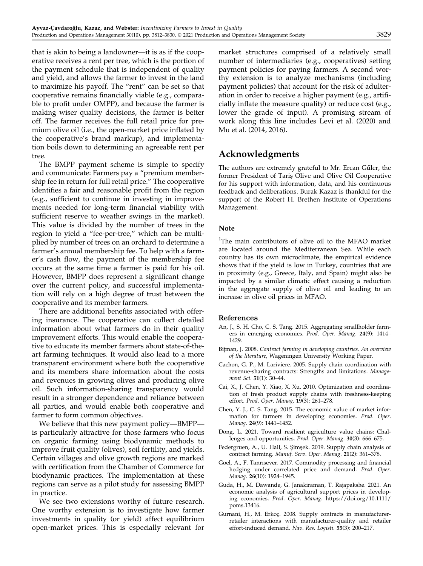that is akin to being a landowner—it is as if the cooperative receives a rent per tree, which is the portion of the payment schedule that is independent of quality and yield, and allows the farmer to invest in the land to maximize his payoff. The "rent" can be set so that cooperative remains financially viable (e.g., comparable to profit under OMPP), and because the farmer is making wiser quality decisions, the farmer is better off. The farmer receives the full retail price for premium olive oil (i.e., the open-market price inflated by the cooperative's brand markup), and implementation boils down to determining an agreeable rent per tree.

The BMPP payment scheme is simple to specify and communicate: Farmers pay a "premium membership fee in return for full retail price." The cooperative identifies a fair and reasonable profit from the region (e.g., sufficient to continue in investing in improvements needed for long-term financial viability with sufficient reserve to weather swings in the market). This value is divided by the number of trees in the region to yield a "fee-per-tree," which can be multiplied by number of trees on an orchard to determine a farmer's annual membership fee. To help with a farmer's cash flow, the payment of the membership fee occurs at the same time a farmer is paid for his oil. However, BMPP does represent a significant change over the current policy, and successful implementation will rely on a high degree of trust between the cooperative and its member farmers.

There are additional benefits associated with offering insurance. The cooperative can collect detailed information about what farmers do in their quality improvement efforts. This would enable the cooperative to educate its member farmers about state-of-theart farming techniques. It would also lead to a more transparent environment where both the cooperative and its members share information about the costs and revenues in growing olives and producing olive oil. Such information-sharing transparency would result in a stronger dependence and reliance between all parties, and would enable both cooperative and farmer to form common objectives.

We believe that this new payment policy—BMPP is particularly attractive for those farmers who focus on organic farming using biodynamic methods to improve fruit quality (olives), soil fertility, and yields. Certain villages and olive growth regions are marked with certification from the Chamber of Commerce for biodynamic practices. The implementation at these regions can serve as a pilot study for assessing BMPP in practice.

We see two extensions worthy of future research. One worthy extension is to investigate how farmer investments in quality (or yield) affect equilibrium open-market prices. This is especially relevant for

market structures comprised of a relatively small number of intermediaries (e.g., cooperatives) setting payment policies for paying farmers. A second worthy extension is to analyze mechanisms (including payment policies) that account for the risk of adulteration in order to receive a higher payment (e.g., artificially inflate the measure quality) or reduce cost (e.g., lower the grade of input). A promising stream of work along this line includes Levi et al. (2020) and Mu et al. (2014, 2016).

### Acknowledgments

The authors are extremely grateful to Mr. Ercan Gűler, the former President of Taris¸ Olive and Olive Oil Cooperative for his support with information, data, and his continuous feedback and deliberations. Burak Kazaz is thankful for the support of the Robert H. Brethen Institute of Operations Management.

#### Note

<sup>1</sup>The main contributors of olive oil to the MFAO market are located around the Mediterranean Sea. While each country has its own microclimate, the empirical evidence shows that if the yield is low in Turkey, countries that are in proximity (e.g., Greece, Italy, and Spain) might also be impacted by a similar climatic effect causing a reduction in the aggregate supply of olive oil and leading to an increase in olive oil prices in MFAO.

#### References

- An, J., S. H. Cho, C. S. Tang. 2015. Aggregating smallholder farmers in emerging economies. Prod. Oper. Manag. 24(9): 1414– 1429.
- Bijman, J. 2008. Contract farming in developing countries. An overview of the literature, Wageningen University Working Paper.
- Cachon, G. P., M. Lariviere. 2005. Supply chain coordination with revenue-sharing contracts: Strengths and limitations. Management Sci. 51(1): 30–44.
- Cai, X., J. Chen, Y. Xiao, X. Xu. 2010. Optimization and coordination of fresh product supply chains with freshness-keeping effort. Prod. Oper. Manag. 19(3): 261–278.
- Chen, Y. J., C. S. Tang. 2015. The economic value of market information for farmers in developing economies. Prod. Oper. Manag. 24(9): 1441–1452.
- Dong, L. 2021. Toward resilient agriculture value chains: Challenges and opportunities. Prod. Oper. Manag. 30(3): 666-675.
- Federgruen, A., U. Hall, S. Simsek. 2019. Supply chain analysis of contract farming. Manuf. Serv. Oper. Manag. 21(2): 361–378.
- Goel, A., F. Tanrısever. 2017. Commodity processing and financial hedging under correlated price and demand. Prod. Oper. Manag. 26(10): 1924–1945.
- Guda, H., M. Dawande, G. Janakiraman, T. Rajapakshe. 2021. An economic analysis of agricultural support prices in developing economies. Prod. Oper. Manag. [https://doi.org/10.1111/](https://doi.org/10.1111/poms.13416) [poms.13416.](https://doi.org/10.1111/poms.13416)
- Gurnani, H., M. Erkoç. 2008. Supply contracts in manufacturerretailer interactions with manufacturer-quality and retailer effort-induced demand. Nav. Res. Logisti. 55(3): 200–217.